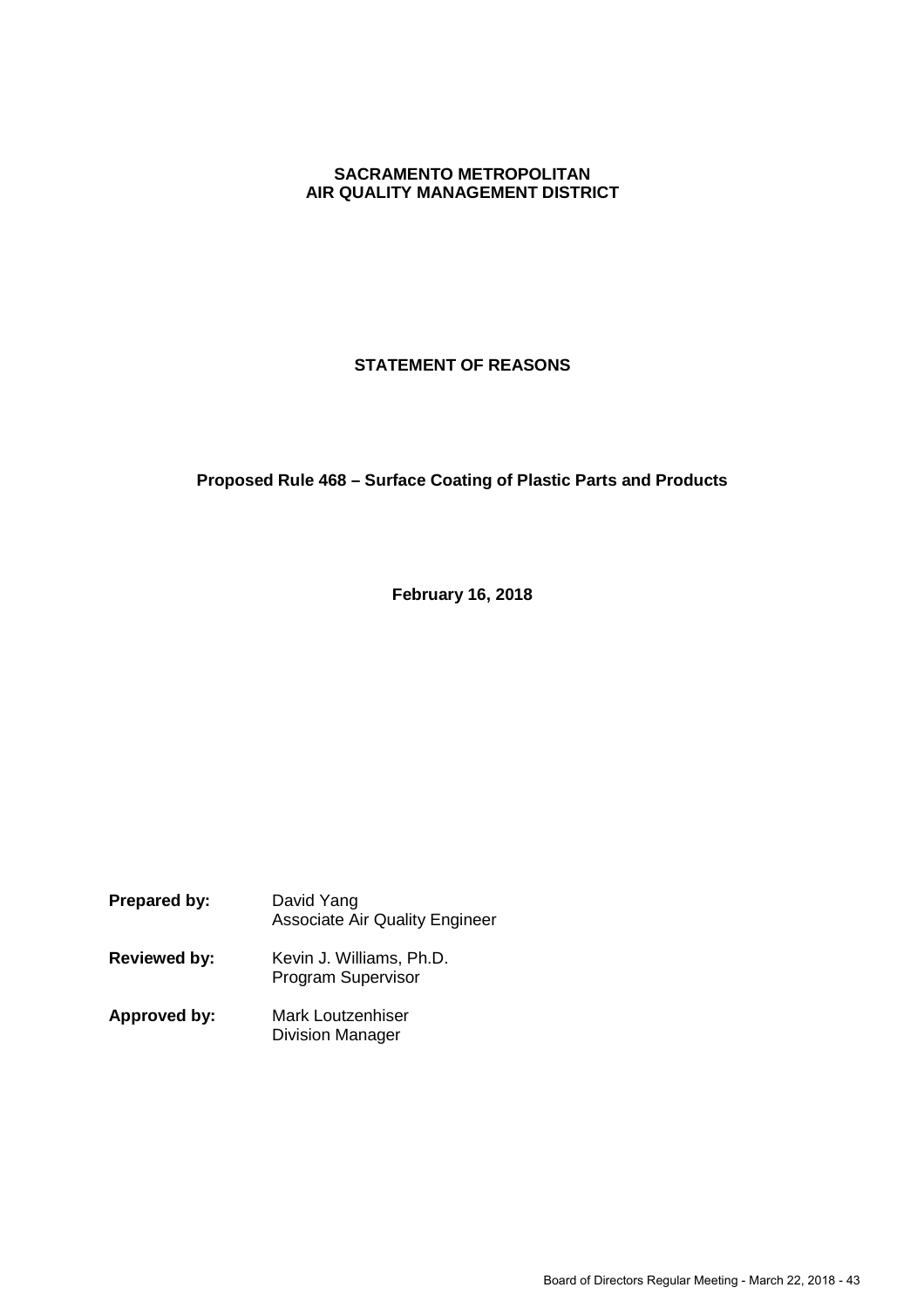# **SACRAMENTO METROPOLITAN AIR QUALITY MANAGEMENT DISTRICT**

# **STATEMENT OF REASONS**

# **Proposed Rule 468 – Surface Coating of Plastic Parts and Products**

**February 16, 2018**

| Prepared by:        | David Yang<br><b>Associate Air Quality Engineer</b>   |
|---------------------|-------------------------------------------------------|
| <b>Reviewed by:</b> | Kevin J. Williams, Ph.D.<br><b>Program Supervisor</b> |
| Approved by:        | Mark Loutzenhiser<br><b>Division Manager</b>          |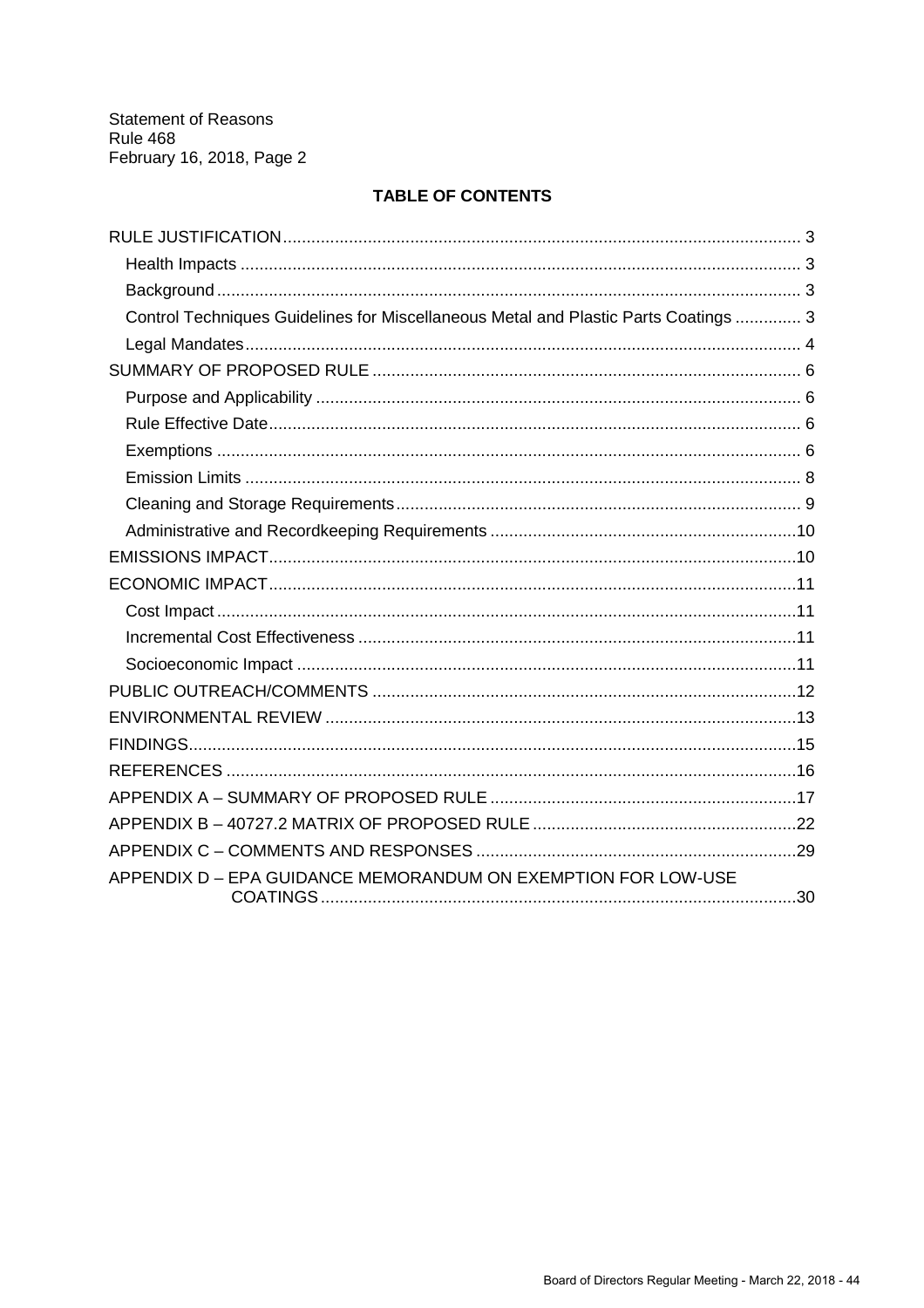# **TABLE OF CONTENTS**

| Control Techniques Guidelines for Miscellaneous Metal and Plastic Parts Coatings  3 |  |
|-------------------------------------------------------------------------------------|--|
|                                                                                     |  |
|                                                                                     |  |
|                                                                                     |  |
|                                                                                     |  |
|                                                                                     |  |
|                                                                                     |  |
|                                                                                     |  |
|                                                                                     |  |
|                                                                                     |  |
|                                                                                     |  |
|                                                                                     |  |
|                                                                                     |  |
|                                                                                     |  |
|                                                                                     |  |
|                                                                                     |  |
|                                                                                     |  |
|                                                                                     |  |
|                                                                                     |  |
|                                                                                     |  |
|                                                                                     |  |
| APPENDIX D - EPA GUIDANCE MEMORANDUM ON EXEMPTION FOR LOW-USE                       |  |
|                                                                                     |  |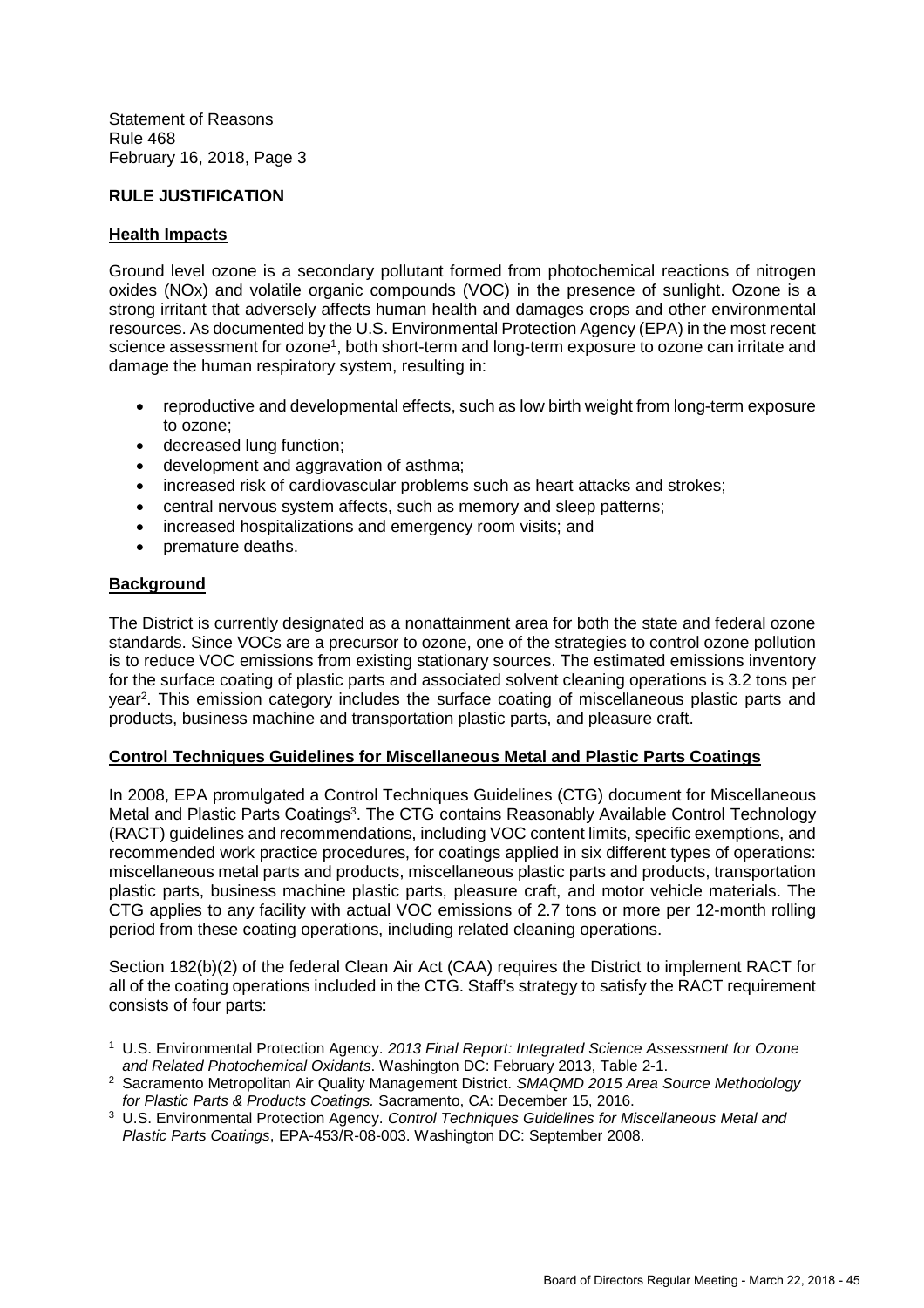# **RULE JUSTIFICATION**

#### **Health Impacts**

Ground level ozone is a secondary pollutant formed from photochemical reactions of nitrogen oxides (NOx) and volatile organic compounds (VOC) in the presence of sunlight. Ozone is a strong irritant that adversely affects human health and damages crops and other environmental resources. As documented by the U.S. Environmental Protection Agency (EPA) in the most recent science assessment for ozone<sup>1</sup>, both short-term and long-term exposure to ozone can irritate and damage the human respiratory system, resulting in:

- reproductive and developmental effects, such as low birth weight from long-term exposure to ozone;
- decreased lung function;
- development and aggravation of asthma;
- increased risk of cardiovascular problems such as heart attacks and strokes;
- central nervous system affects, such as memory and sleep patterns;
- increased hospitalizations and emergency room visits; and
- premature deaths.

# **Background**

The District is currently designated as a nonattainment area for both the state and federal ozone standards. Since VOCs are a precursor to ozone, one of the strategies to control ozone pollution is to reduce VOC emissions from existing stationary sources. The estimated emissions inventory for the surface coating of plastic parts and associated solvent cleaning operations is 3.2 tons per year<sup>2</sup>. This emission category includes the surface coating of miscellaneous plastic parts and products, business machine and transportation plastic parts, and pleasure craft.

# **Control Techniques Guidelines for Miscellaneous Metal and Plastic Parts Coatings**

In 2008, EPA promulgated a Control Techniques Guidelines (CTG) document for Miscellaneous Metal and Plastic Parts Coatings<sup>3</sup>. The CTG contains Reasonably Available Control Technology (RACT) guidelines and recommendations, including VOC content limits, specific exemptions, and recommended work practice procedures, for coatings applied in six different types of operations: miscellaneous metal parts and products, miscellaneous plastic parts and products, transportation plastic parts, business machine plastic parts, pleasure craft, and motor vehicle materials. The CTG applies to any facility with actual VOC emissions of 2.7 tons or more per 12-month rolling period from these coating operations, including related cleaning operations.

Section 182(b)(2) of the federal Clean Air Act (CAA) requires the District to implement RACT for all of the coating operations included in the CTG. Staff's strategy to satisfy the RACT requirement consists of four parts:

<sup>1</sup> U.S. Environmental Protection Agency. *2013 Final Report: Integrated Science Assessment for Ozone and Related Photochemical Oxidants*. Washington DC: February 2013, Table 2-1.

<sup>2</sup> Sacramento Metropolitan Air Quality Management District. *SMAQMD 2015 Area Source Methodology for Plastic Parts & Products Coatings.* Sacramento, CA: December 15, 2016.

<sup>3</sup> U.S. Environmental Protection Agency. *Control Techniques Guidelines for Miscellaneous Metal and Plastic Parts Coatings*, EPA-453/R-08-003. Washington DC: September 2008.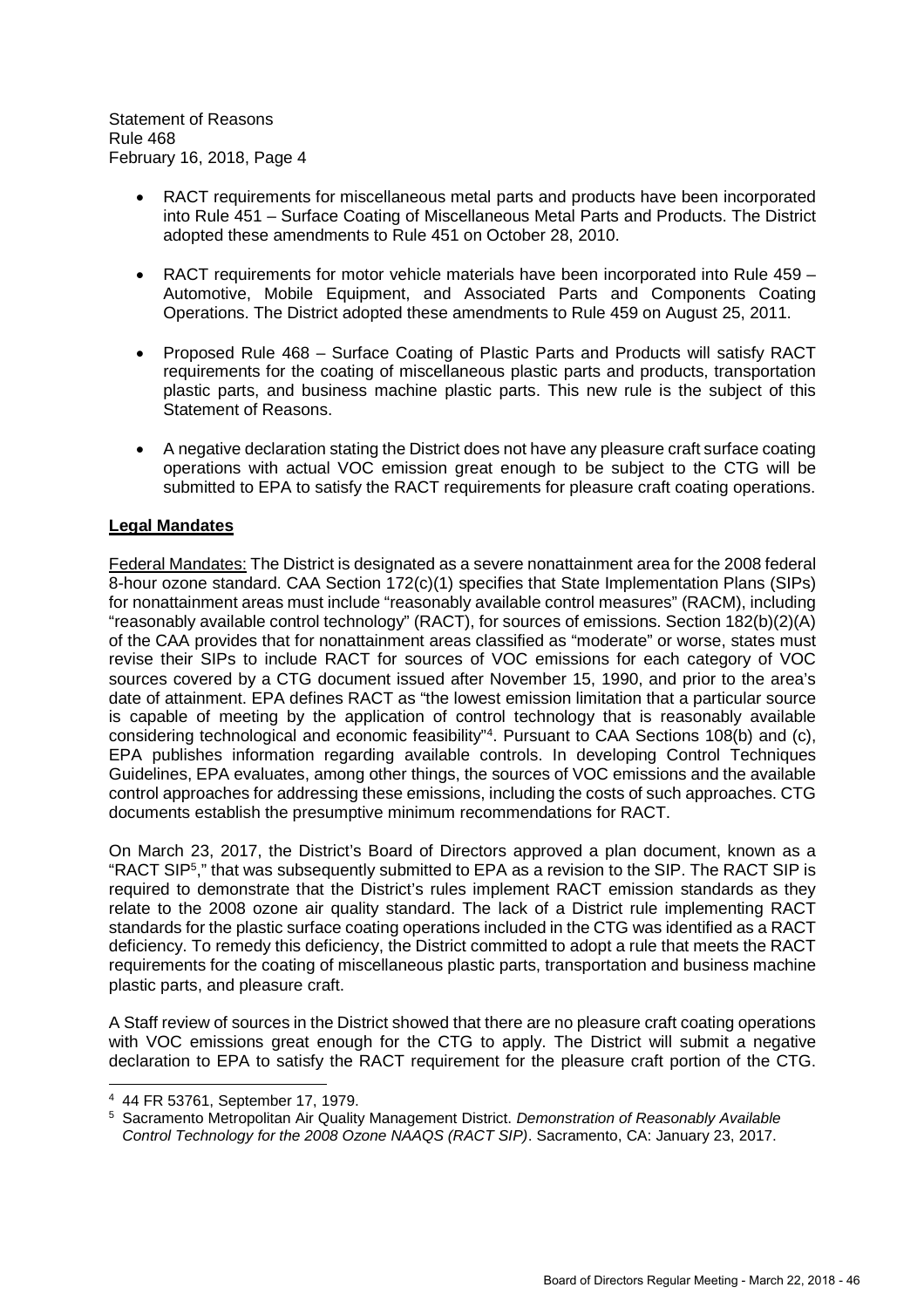- RACT requirements for miscellaneous metal parts and products have been incorporated into Rule 451 – Surface Coating of Miscellaneous Metal Parts and Products. The District adopted these amendments to Rule 451 on October 28, 2010.
- RACT requirements for motor vehicle materials have been incorporated into Rule 459 Automotive, Mobile Equipment, and Associated Parts and Components Coating Operations. The District adopted these amendments to Rule 459 on August 25, 2011.
- Proposed Rule 468 Surface Coating of Plastic Parts and Products will satisfy RACT requirements for the coating of miscellaneous plastic parts and products, transportation plastic parts, and business machine plastic parts. This new rule is the subject of this Statement of Reasons.
- A negative declaration stating the District does not have any pleasure craft surface coating operations with actual VOC emission great enough to be subject to the CTG will be submitted to EPA to satisfy the RACT requirements for pleasure craft coating operations.

# **Legal Mandates**

Federal Mandates: The District is designated as a severe nonattainment area for the 2008 federal 8-hour ozone standard. CAA Section 172(c)(1) specifies that State Implementation Plans (SIPs) for nonattainment areas must include "reasonably available control measures" (RACM), including "reasonably available control technology" (RACT), for sources of emissions. Section 182(b)(2)(A) of the CAA provides that for nonattainment areas classified as "moderate" or worse, states must revise their SIPs to include RACT for sources of VOC emissions for each category of VOC sources covered by a CTG document issued after November 15, 1990, and prior to the area's date of attainment. EPA defines RACT as "the lowest emission limitation that a particular source is capable of meeting by the application of control technology that is reasonably available considering technological and economic feasibility"<sup>4</sup> . Pursuant to CAA Sections 108(b) and (c), EPA publishes information regarding available controls. In developing Control Techniques Guidelines, EPA evaluates, among other things, the sources of VOC emissions and the available control approaches for addressing these emissions, including the costs of such approaches. CTG documents establish the presumptive minimum recommendations for RACT.

On March 23, 2017, the District's Board of Directors approved a plan document, known as a "RACT SIP<sup>5</sup> ," that was subsequently submitted to EPA as a revision to the SIP. The RACT SIP is required to demonstrate that the District's rules implement RACT emission standards as they relate to the 2008 ozone air quality standard. The lack of a District rule implementing RACT standards for the plastic surface coating operations included in the CTG was identified as a RACT deficiency. To remedy this deficiency, the District committed to adopt a rule that meets the RACT requirements for the coating of miscellaneous plastic parts, transportation and business machine plastic parts, and pleasure craft.

A Staff review of sources in the District showed that there are no pleasure craft coating operations with VOC emissions great enough for the CTG to apply. The District will submit a negative declaration to EPA to satisfy the RACT requirement for the pleasure craft portion of the CTG.

<sup>4</sup> 44 FR 53761, September 17, 1979.

<sup>5</sup> Sacramento Metropolitan Air Quality Management District. *Demonstration of Reasonably Available Control Technology for the 2008 Ozone NAAQS (RACT SIP)*. Sacramento, CA: January 23, 2017.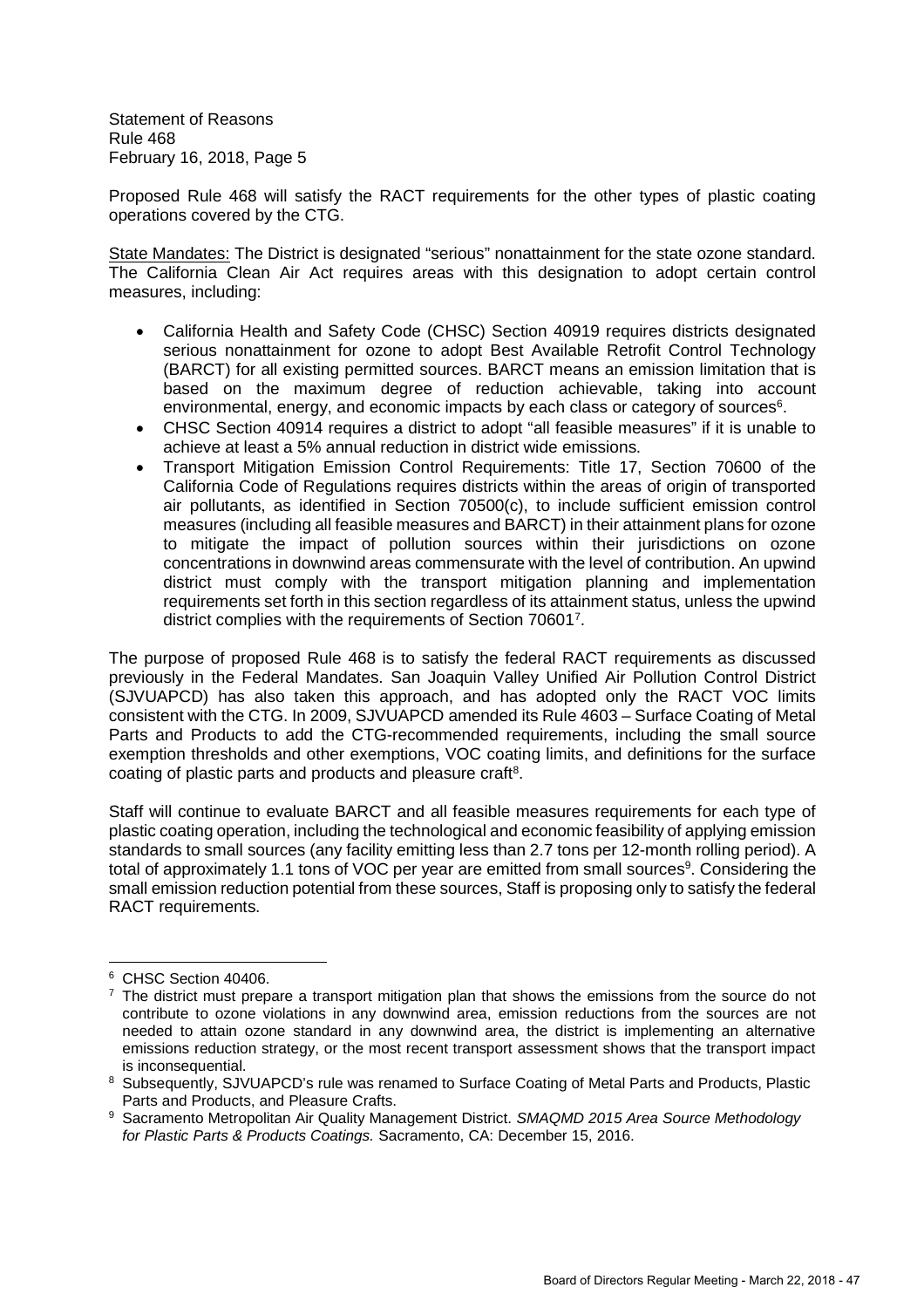Proposed Rule 468 will satisfy the RACT requirements for the other types of plastic coating operations covered by the CTG.

State Mandates: The District is designated "serious" nonattainment for the state ozone standard. The California Clean Air Act requires areas with this designation to adopt certain control measures, including:

- California Health and Safety Code (CHSC) Section 40919 requires districts designated serious nonattainment for ozone to adopt Best Available Retrofit Control Technology (BARCT) for all existing permitted sources. BARCT means an emission limitation that is based on the maximum degree of reduction achievable, taking into account environmental, energy, and economic impacts by each class or category of sources<sup>6</sup>.
- CHSC Section 40914 requires a district to adopt "all feasible measures" if it is unable to achieve at least a 5% annual reduction in district wide emissions.
- Transport Mitigation Emission Control Requirements: Title 17, Section 70600 of the California Code of Regulations requires districts within the areas of origin of transported air pollutants, as identified in Section 70500(c), to include sufficient emission control measures (including all feasible measures and BARCT) in their attainment plans for ozone to mitigate the impact of pollution sources within their jurisdictions on ozone concentrations in downwind areas commensurate with the level of contribution. An upwind district must comply with the transport mitigation planning and implementation requirements set forth in this section regardless of its attainment status, unless the upwind district complies with the requirements of Section 706017.

The purpose of proposed Rule 468 is to satisfy the federal RACT requirements as discussed previously in the Federal Mandates. San Joaquin Valley Unified Air Pollution Control District (SJVUAPCD) has also taken this approach, and has adopted only the RACT VOC limits consistent with the CTG. In 2009, SJVUAPCD amended its Rule 4603 – Surface Coating of Metal Parts and Products to add the CTG-recommended requirements, including the small source exemption thresholds and other exemptions, VOC coating limits, and definitions for the surface coating of plastic parts and products and pleasure craft<sup>8</sup>.

Staff will continue to evaluate BARCT and all feasible measures requirements for each type of plastic coating operation, including the technological and economic feasibility of applying emission standards to small sources (any facility emitting less than 2.7 tons per 12-month rolling period). A total of approximately 1.1 tons of VOC per year are emitted from small sources<sup>9</sup>. Considering the small emission reduction potential from these sources, Staff is proposing only to satisfy the federal RACT requirements.

<sup>6</sup> CHSC Section 40406.

 $7$  The district must prepare a transport mitigation plan that shows the emissions from the source do not contribute to ozone violations in any downwind area, emission reductions from the sources are not needed to attain ozone standard in any downwind area, the district is implementing an alternative emissions reduction strategy, or the most recent transport assessment shows that the transport impact is inconsequential.

<sup>8</sup> Subsequently, SJVUAPCD's rule was renamed to Surface Coating of Metal Parts and Products, Plastic Parts and Products, and Pleasure Crafts.

<sup>9</sup> Sacramento Metropolitan Air Quality Management District. *SMAQMD 2015 Area Source Methodology for Plastic Parts & Products Coatings.* Sacramento, CA: December 15, 2016.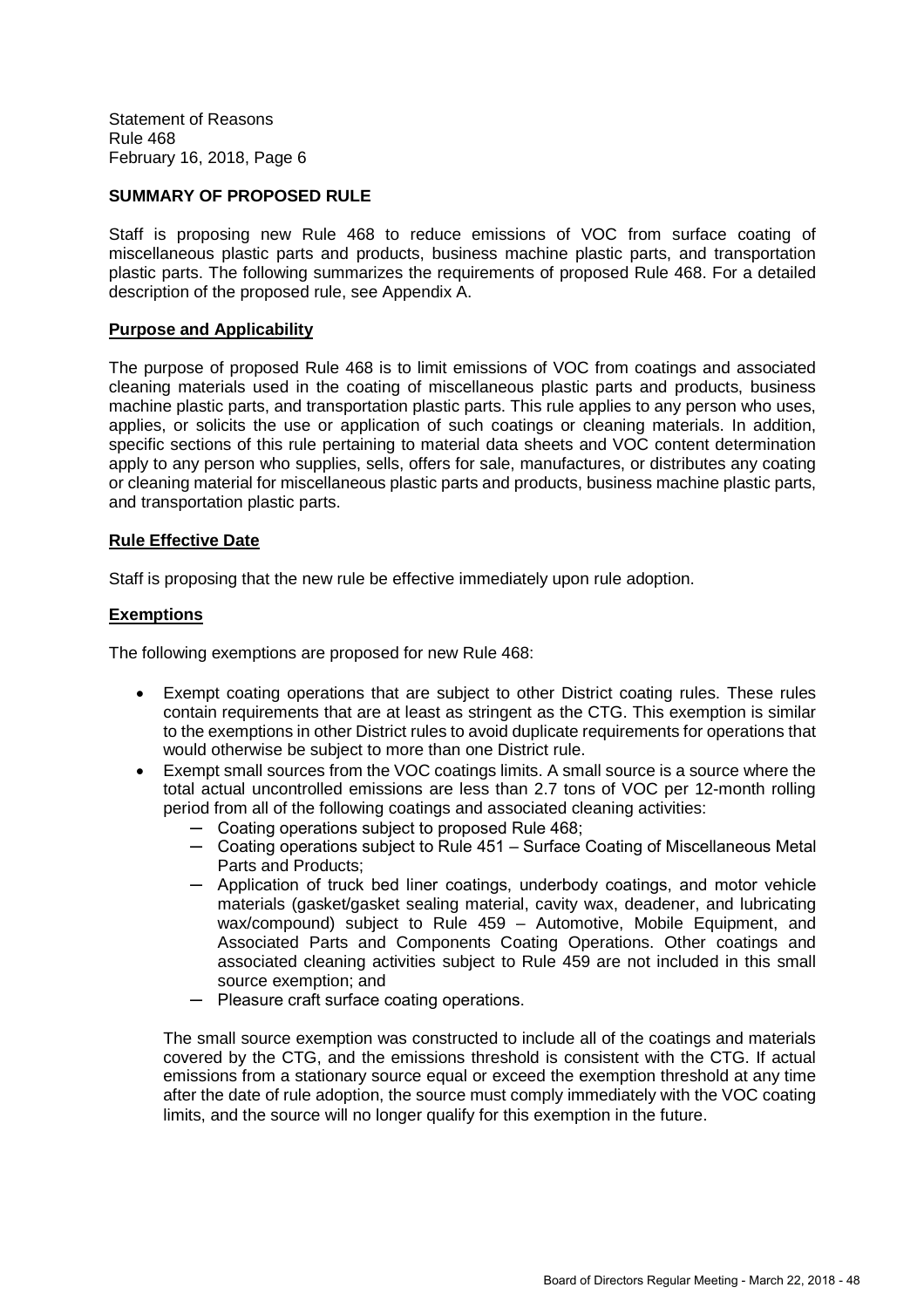# **SUMMARY OF PROPOSED RULE**

Staff is proposing new Rule 468 to reduce emissions of VOC from surface coating of miscellaneous plastic parts and products, business machine plastic parts, and transportation plastic parts. The following summarizes the requirements of proposed Rule 468. For a detailed description of the proposed rule, see Appendix A.

#### **Purpose and Applicability**

The purpose of proposed Rule 468 is to limit emissions of VOC from coatings and associated cleaning materials used in the coating of miscellaneous plastic parts and products, business machine plastic parts, and transportation plastic parts. This rule applies to any person who uses, applies, or solicits the use or application of such coatings or cleaning materials. In addition, specific sections of this rule pertaining to material data sheets and VOC content determination apply to any person who supplies, sells, offers for sale, manufactures, or distributes any coating or cleaning material for miscellaneous plastic parts and products, business machine plastic parts, and transportation plastic parts.

#### **Rule Effective Date**

Staff is proposing that the new rule be effective immediately upon rule adoption.

#### **Exemptions**

The following exemptions are proposed for new Rule 468:

- Exempt coating operations that are subject to other District coating rules. These rules contain requirements that are at least as stringent as the CTG. This exemption is similar to the exemptions in other District rules to avoid duplicate requirements for operations that would otherwise be subject to more than one District rule.
- Exempt small sources from the VOC coatings limits. A small source is a source where the total actual uncontrolled emissions are less than 2.7 tons of VOC per 12-month rolling period from all of the following coatings and associated cleaning activities:
	- ─ Coating operations subject to proposed Rule 468;
	- ─ Coating operations subject to Rule 451 Surface Coating of Miscellaneous Metal Parts and Products;
	- ─ Application of truck bed liner coatings, underbody coatings, and motor vehicle materials (gasket/gasket sealing material, cavity wax, deadener, and lubricating wax/compound) subject to Rule 459 – Automotive, Mobile Equipment, and Associated Parts and Components Coating Operations. Other coatings and associated cleaning activities subject to Rule 459 are not included in this small source exemption; and
	- ─ Pleasure craft surface coating operations.

The small source exemption was constructed to include all of the coatings and materials covered by the CTG, and the emissions threshold is consistent with the CTG. If actual emissions from a stationary source equal or exceed the exemption threshold at any time after the date of rule adoption, the source must comply immediately with the VOC coating limits, and the source will no longer qualify for this exemption in the future.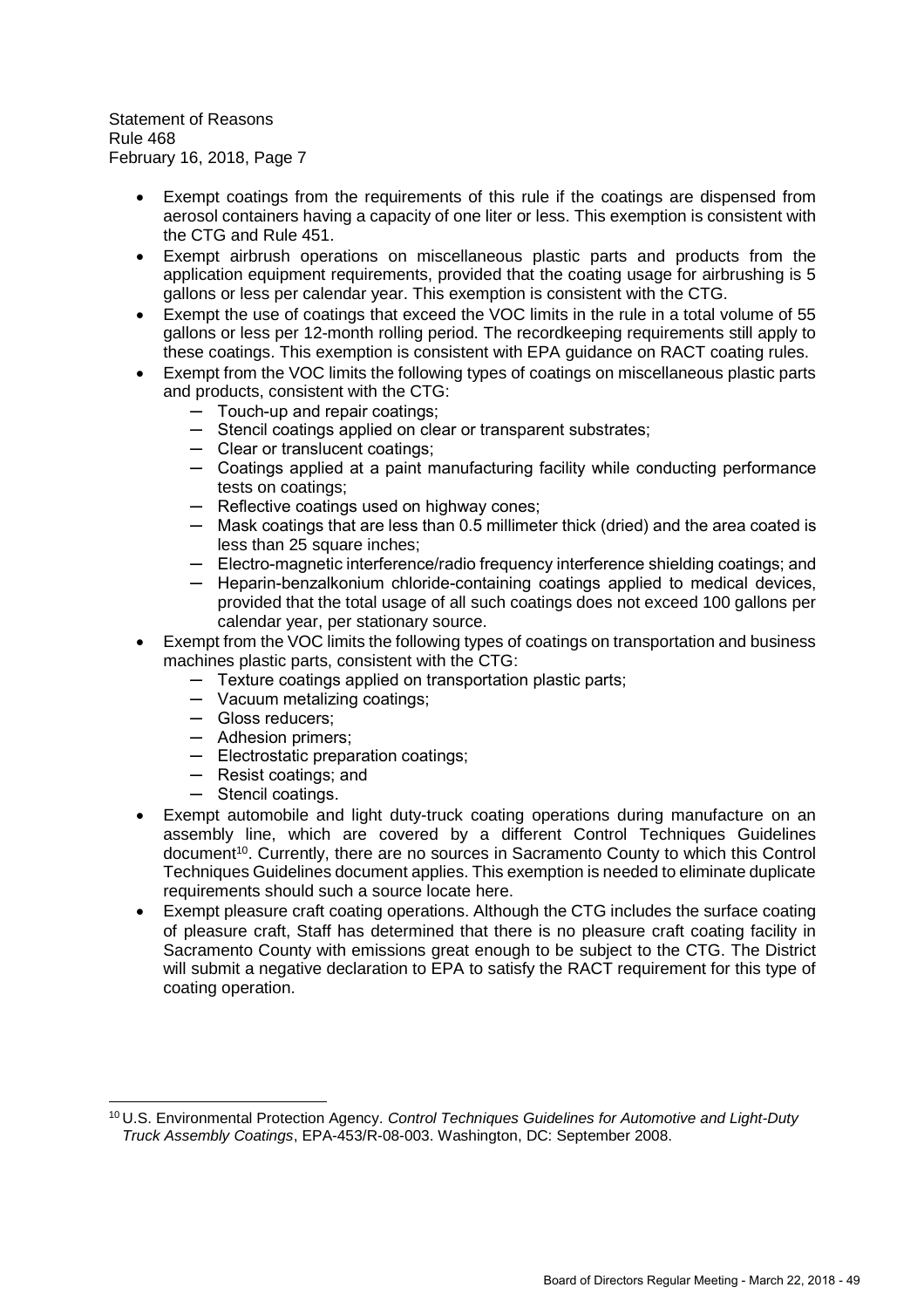- Exempt coatings from the requirements of this rule if the coatings are dispensed from aerosol containers having a capacity of one liter or less. This exemption is consistent with the CTG and Rule 451.
- Exempt airbrush operations on miscellaneous plastic parts and products from the application equipment requirements, provided that the coating usage for airbrushing is 5 gallons or less per calendar year. This exemption is consistent with the CTG.
- Exempt the use of coatings that exceed the VOC limits in the rule in a total volume of 55 gallons or less per 12-month rolling period. The recordkeeping requirements still apply to these coatings. This exemption is consistent with EPA guidance on RACT coating rules.
- Exempt from the VOC limits the following types of coatings on miscellaneous plastic parts and products, consistent with the CTG:
	- ─ Touch-up and repair coatings;
	- ─ Stencil coatings applied on clear or transparent substrates;
	- ─ Clear or translucent coatings;
	- ─ Coatings applied at a paint manufacturing facility while conducting performance tests on coatings;
	- ─ Reflective coatings used on highway cones;
	- ─ Mask coatings that are less than 0.5 millimeter thick (dried) and the area coated is less than 25 square inches:
	- ─ Electro-magnetic interference/radio frequency interference shielding coatings; and
	- ─ Heparin-benzalkonium chloride-containing coatings applied to medical devices, provided that the total usage of all such coatings does not exceed 100 gallons per calendar year, per stationary source.
- Exempt from the VOC limits the following types of coatings on transportation and business machines plastic parts, consistent with the CTG:
	- ─ Texture coatings applied on transportation plastic parts;
	- ─ Vacuum metalizing coatings;
	- ─ Gloss reducers;
	- ─ Adhesion primers;
	- ─ Electrostatic preparation coatings;
	- ─ Resist coatings; and
	- ─ Stencil coatings.
- Exempt automobile and light duty-truck coating operations during manufacture on an assembly line, which are covered by a different Control Techniques Guidelines document<sup>10</sup>. Currently, there are no sources in Sacramento County to which this Control Techniques Guidelines document applies. This exemption is needed to eliminate duplicate requirements should such a source locate here.
- Exempt pleasure craft coating operations. Although the CTG includes the surface coating of pleasure craft, Staff has determined that there is no pleasure craft coating facility in Sacramento County with emissions great enough to be subject to the CTG. The District will submit a negative declaration to EPA to satisfy the RACT requirement for this type of coating operation.

<sup>10</sup> U.S. Environmental Protection Agency. *Control Techniques Guidelines for Automotive and Light-Duty Truck Assembly Coatings*, EPA-453/R-08-003. Washington, DC: September 2008.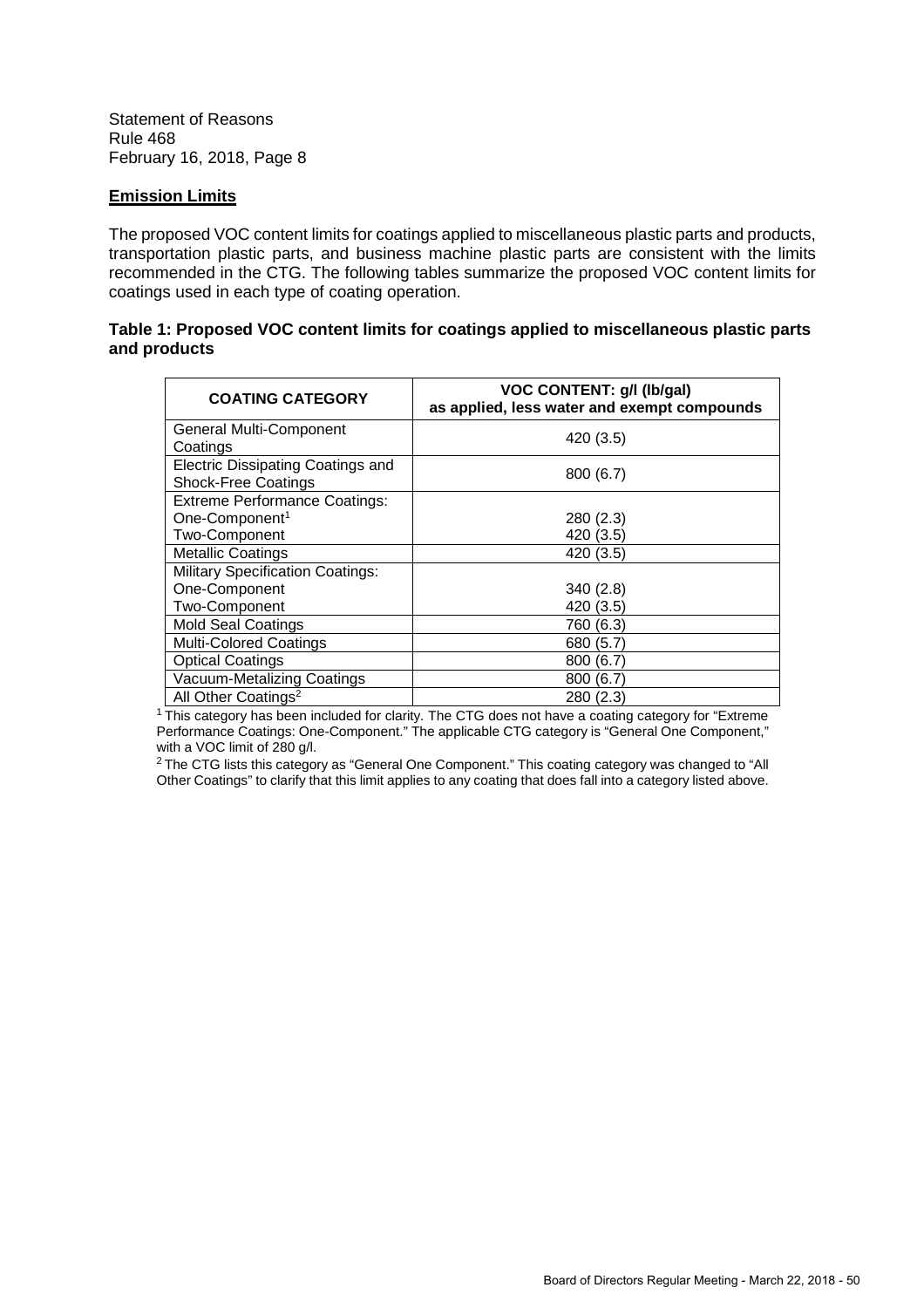#### **Emission Limits**

The proposed VOC content limits for coatings applied to miscellaneous plastic parts and products, transportation plastic parts, and business machine plastic parts are consistent with the limits recommended in the CTG. The following tables summarize the proposed VOC content limits for coatings used in each type of coating operation.

#### **Table 1: Proposed VOC content limits for coatings applied to miscellaneous plastic parts and products**

| <b>COATING CATEGORY</b>                 | <b>VOC CONTENT: g/l (lb/gal)</b><br>as applied, less water and exempt compounds |
|-----------------------------------------|---------------------------------------------------------------------------------|
| General Multi-Component                 |                                                                                 |
| Coatings                                | 420 (3.5)                                                                       |
| Electric Dissipating Coatings and       |                                                                                 |
| <b>Shock-Free Coatings</b>              | 800(6.7)                                                                        |
| <b>Extreme Performance Coatings:</b>    |                                                                                 |
| One-Component <sup>1</sup>              | 280 (2.3)                                                                       |
| Two-Component                           | 420 (3.5)                                                                       |
| <b>Metallic Coatings</b>                | 420 (3.5)                                                                       |
| <b>Military Specification Coatings:</b> |                                                                                 |
| One-Component                           | 340(2.8)                                                                        |
| Two-Component                           | 420 (3.5)                                                                       |
| <b>Mold Seal Coatings</b>               | 760 (6.3)                                                                       |
| <b>Multi-Colored Coatings</b>           | 680 (5.7)                                                                       |
| <b>Optical Coatings</b>                 | 800 (6.7)                                                                       |
| Vacuum-Metalizing Coatings              | 800 (6.7)                                                                       |
| All Other Coatings <sup>2</sup>         | 280 (2.3)                                                                       |

 $1$  This category has been included for clarity. The CTG does not have a coating category for "Extreme Performance Coatings: One-Component." The applicable CTG category is "General One Component," with a VOC limit of 280 g/l.

<sup>2</sup> The CTG lists this category as "General One Component." This coating category was changed to "All Other Coatings" to clarify that this limit applies to any coating that does fall into a category listed above.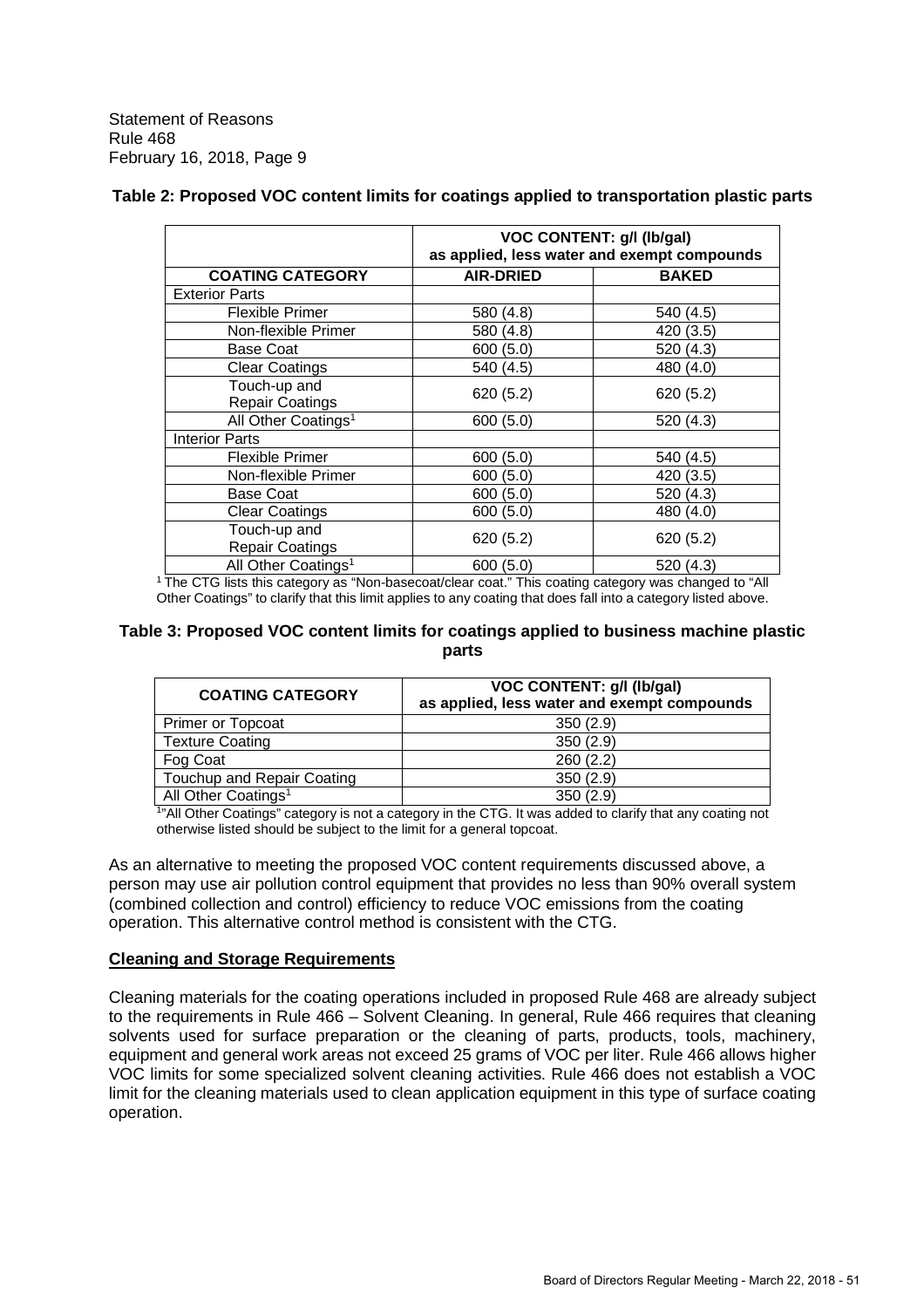|  | Table 2: Proposed VOC content limits for coatings applied to transportation plastic parts |
|--|-------------------------------------------------------------------------------------------|
|  |                                                                                           |

| <b>VOC CONTENT: g/l (lb/gal)</b><br>as applied, less water and exempt compounds |                  |              |
|---------------------------------------------------------------------------------|------------------|--------------|
| <b>COATING CATEGORY</b>                                                         | <b>AIR-DRIED</b> | <b>BAKED</b> |
| <b>Exterior Parts</b>                                                           |                  |              |
| <b>Flexible Primer</b>                                                          | 580 (4.8)        | 540 (4.5)    |
| Non-flexible Primer                                                             | 580 (4.8)        | 420 (3.5)    |
| <b>Base Coat</b>                                                                | 600 (5.0)        | 520 (4.3)    |
| <b>Clear Coatings</b>                                                           | 540 (4.5)        |              |
| Touch-up and<br><b>Repair Coatings</b>                                          | 620 (5.2)        | 620 (5.2)    |
| All Other Coatings <sup>1</sup><br>600 (5.0)                                    |                  | 520 (4.3)    |
| <b>Interior Parts</b>                                                           |                  |              |
| <b>Flexible Primer</b>                                                          | 600 (5.0)        | 540 (4.5)    |
| Non-flexible Primer                                                             | 600 (5.0)        | 420 (3.5)    |
| <b>Base Coat</b>                                                                | 600 (5.0)        | 520(4.3)     |
| <b>Clear Coatings</b>                                                           | 600(5.0)         | 480 (4.0)    |
| Touch-up and<br><b>Repair Coatings</b>                                          | 620(5.2)         | 620(5.2)     |
| All Other Coatings <sup>1</sup><br>600 (5.0)<br>520 (4.3)                       |                  |              |

<sup>1</sup> The CTG lists this category as "Non-basecoat/clear coat." This coating category was changed to "All Other Coatings" to clarify that this limit applies to any coating that does fall into a category listed above.

#### **Table 3: Proposed VOC content limits for coatings applied to business machine plastic parts**

| <b>COATING CATEGORY</b>         | VOC CONTENT: g/l (lb/gal)<br>as applied, less water and exempt compounds |
|---------------------------------|--------------------------------------------------------------------------|
| Primer or Topcoat               | 350(2.9)                                                                 |
| <b>Texture Coating</b>          | 350(2.9)                                                                 |
| Fog Coat                        | 260(2.2)                                                                 |
| Touchup and Repair Coating      | 350(2.9)                                                                 |
| All Other Coatings <sup>1</sup> | 350(2.9)                                                                 |

1 "All Other Coatings" category is not a category in the CTG. It was added to clarify that any coating not otherwise listed should be subject to the limit for a general topcoat.

As an alternative to meeting the proposed VOC content requirements discussed above, a person may use air pollution control equipment that provides no less than 90% overall system (combined collection and control) efficiency to reduce VOC emissions from the coating operation. This alternative control method is consistent with the CTG.

# **Cleaning and Storage Requirements**

Cleaning materials for the coating operations included in proposed Rule 468 are already subject to the requirements in Rule 466 – Solvent Cleaning. In general, Rule 466 requires that cleaning solvents used for surface preparation or the cleaning of parts, products, tools, machinery, equipment and general work areas not exceed 25 grams of VOC per liter. Rule 466 allows higher VOC limits for some specialized solvent cleaning activities. Rule 466 does not establish a VOC limit for the cleaning materials used to clean application equipment in this type of surface coating operation.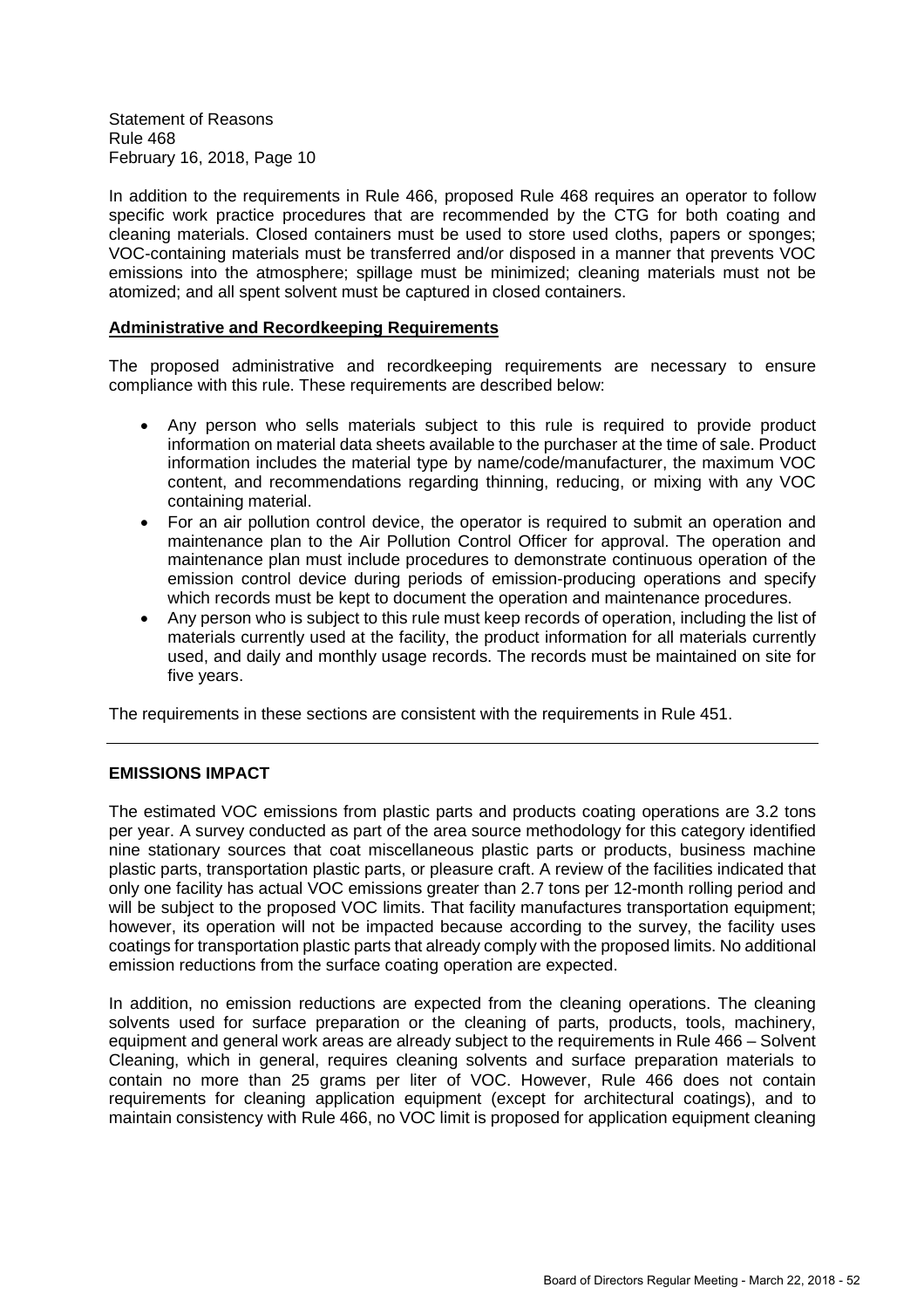In addition to the requirements in Rule 466, proposed Rule 468 requires an operator to follow specific work practice procedures that are recommended by the CTG for both coating and cleaning materials. Closed containers must be used to store used cloths, papers or sponges; VOC-containing materials must be transferred and/or disposed in a manner that prevents VOC emissions into the atmosphere; spillage must be minimized; cleaning materials must not be atomized; and all spent solvent must be captured in closed containers.

#### **Administrative and Recordkeeping Requirements**

The proposed administrative and recordkeeping requirements are necessary to ensure compliance with this rule. These requirements are described below:

- Any person who sells materials subject to this rule is required to provide product information on material data sheets available to the purchaser at the time of sale. Product information includes the material type by name/code/manufacturer, the maximum VOC content, and recommendations regarding thinning, reducing, or mixing with any VOC containing material.
- For an air pollution control device, the operator is required to submit an operation and maintenance plan to the Air Pollution Control Officer for approval. The operation and maintenance plan must include procedures to demonstrate continuous operation of the emission control device during periods of emission-producing operations and specify which records must be kept to document the operation and maintenance procedures.
- Any person who is subject to this rule must keep records of operation, including the list of materials currently used at the facility, the product information for all materials currently used, and daily and monthly usage records. The records must be maintained on site for five years.

The requirements in these sections are consistent with the requirements in Rule 451.

#### **EMISSIONS IMPACT**

The estimated VOC emissions from plastic parts and products coating operations are 3.2 tons per year. A survey conducted as part of the area source methodology for this category identified nine stationary sources that coat miscellaneous plastic parts or products, business machine plastic parts, transportation plastic parts, or pleasure craft. A review of the facilities indicated that only one facility has actual VOC emissions greater than 2.7 tons per 12-month rolling period and will be subject to the proposed VOC limits. That facility manufactures transportation equipment; however, its operation will not be impacted because according to the survey, the facility uses coatings for transportation plastic parts that already comply with the proposed limits. No additional emission reductions from the surface coating operation are expected.

In addition, no emission reductions are expected from the cleaning operations. The cleaning solvents used for surface preparation or the cleaning of parts, products, tools, machinery, equipment and general work areas are already subject to the requirements in Rule 466 – Solvent Cleaning, which in general, requires cleaning solvents and surface preparation materials to contain no more than 25 grams per liter of VOC. However, Rule 466 does not contain requirements for cleaning application equipment (except for architectural coatings), and to maintain consistency with Rule 466, no VOC limit is proposed for application equipment cleaning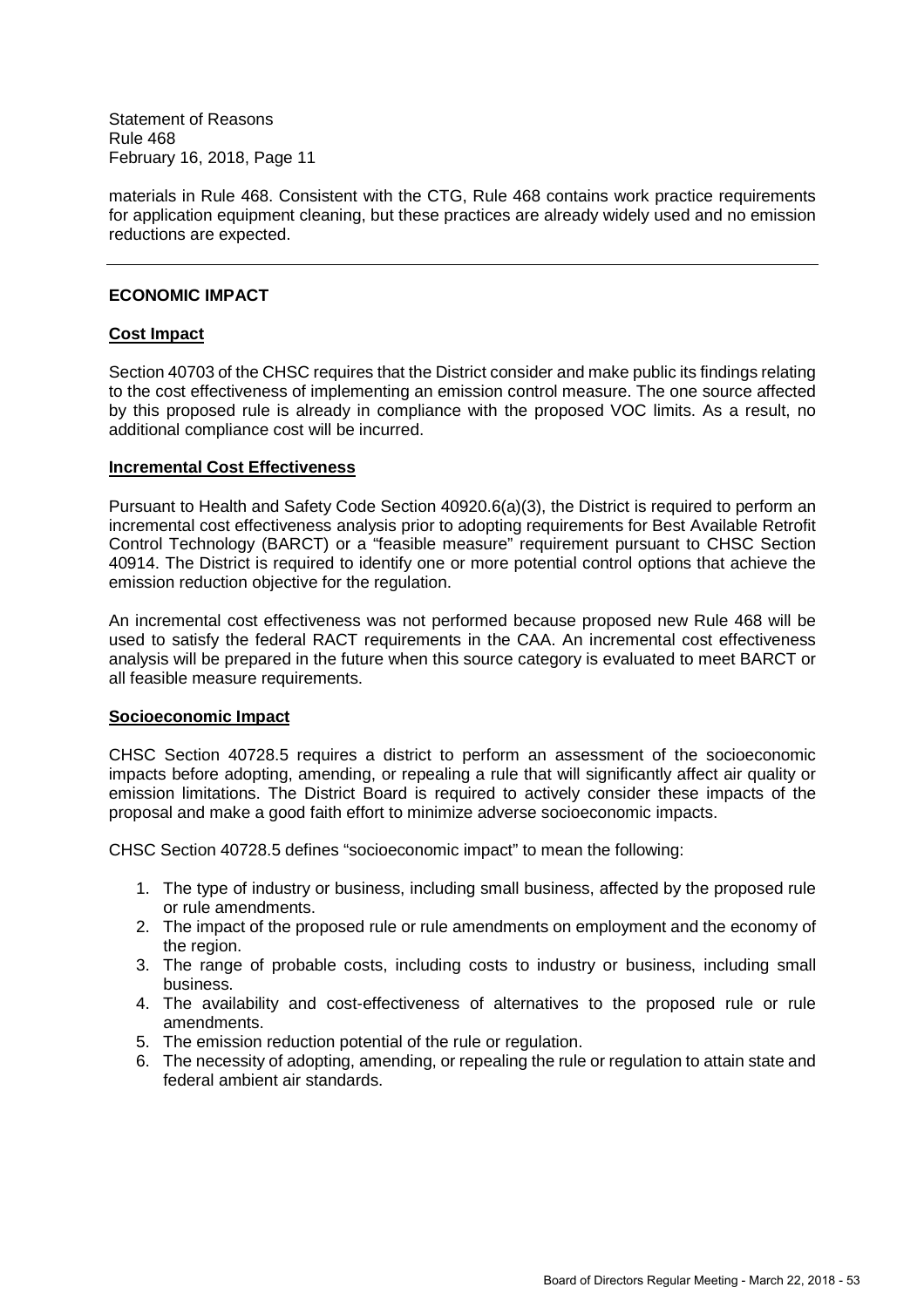materials in Rule 468. Consistent with the CTG, Rule 468 contains work practice requirements for application equipment cleaning, but these practices are already widely used and no emission reductions are expected.

#### **ECONOMIC IMPACT**

# **Cost Impact**

Section 40703 of the CHSC requires that the District consider and make public its findings relating to the cost effectiveness of implementing an emission control measure. The one source affected by this proposed rule is already in compliance with the proposed VOC limits. As a result, no additional compliance cost will be incurred.

#### **Incremental Cost Effectiveness**

Pursuant to Health and Safety Code Section 40920.6(a)(3), the District is required to perform an incremental cost effectiveness analysis prior to adopting requirements for Best Available Retrofit Control Technology (BARCT) or a "feasible measure" requirement pursuant to CHSC Section 40914. The District is required to identify one or more potential control options that achieve the emission reduction objective for the regulation.

An incremental cost effectiveness was not performed because proposed new Rule 468 will be used to satisfy the federal RACT requirements in the CAA. An incremental cost effectiveness analysis will be prepared in the future when this source category is evaluated to meet BARCT or all feasible measure requirements.

#### **Socioeconomic Impact**

CHSC Section 40728.5 requires a district to perform an assessment of the socioeconomic impacts before adopting, amending, or repealing a rule that will significantly affect air quality or emission limitations. The District Board is required to actively consider these impacts of the proposal and make a good faith effort to minimize adverse socioeconomic impacts.

CHSC Section 40728.5 defines "socioeconomic impact" to mean the following:

- 1. The type of industry or business, including small business, affected by the proposed rule or rule amendments.
- 2. The impact of the proposed rule or rule amendments on employment and the economy of the region.
- 3. The range of probable costs, including costs to industry or business, including small business.
- 4. The availability and cost-effectiveness of alternatives to the proposed rule or rule amendments.
- 5. The emission reduction potential of the rule or regulation.
- 6. The necessity of adopting, amending, or repealing the rule or regulation to attain state and federal ambient air standards.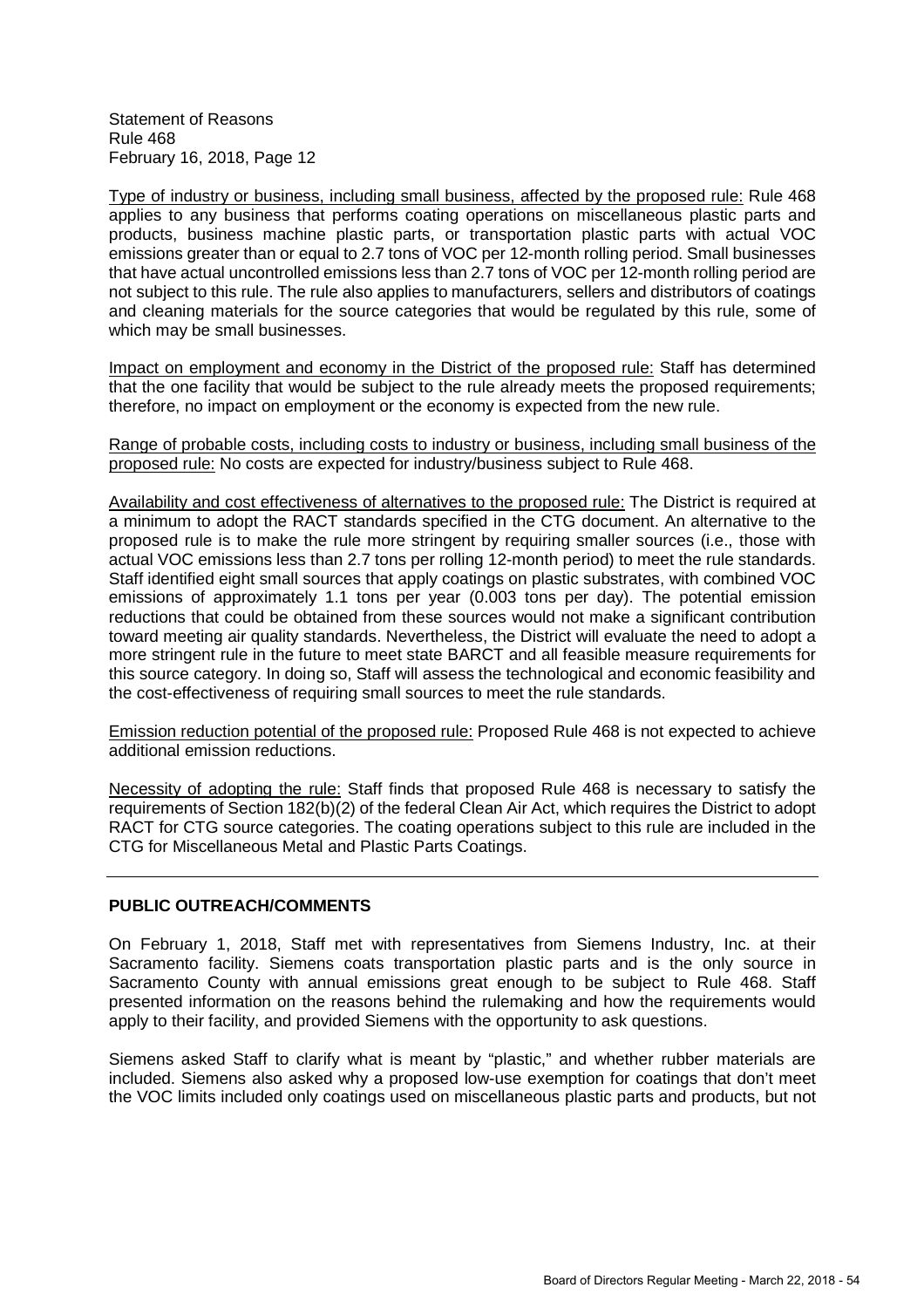Type of industry or business, including small business, affected by the proposed rule: Rule 468 applies to any business that performs coating operations on miscellaneous plastic parts and products, business machine plastic parts, or transportation plastic parts with actual VOC emissions greater than or equal to 2.7 tons of VOC per 12-month rolling period. Small businesses that have actual uncontrolled emissions less than 2.7 tons of VOC per 12-month rolling period are not subject to this rule. The rule also applies to manufacturers, sellers and distributors of coatings and cleaning materials for the source categories that would be regulated by this rule, some of which may be small businesses.

Impact on employment and economy in the District of the proposed rule: Staff has determined that the one facility that would be subject to the rule already meets the proposed requirements; therefore, no impact on employment or the economy is expected from the new rule.

Range of probable costs, including costs to industry or business, including small business of the proposed rule: No costs are expected for industry/business subject to Rule 468.

Availability and cost effectiveness of alternatives to the proposed rule: The District is required at a minimum to adopt the RACT standards specified in the CTG document. An alternative to the proposed rule is to make the rule more stringent by requiring smaller sources (i.e., those with actual VOC emissions less than 2.7 tons per rolling 12-month period) to meet the rule standards. Staff identified eight small sources that apply coatings on plastic substrates, with combined VOC emissions of approximately 1.1 tons per year (0.003 tons per day). The potential emission reductions that could be obtained from these sources would not make a significant contribution toward meeting air quality standards. Nevertheless, the District will evaluate the need to adopt a more stringent rule in the future to meet state BARCT and all feasible measure requirements for this source category. In doing so, Staff will assess the technological and economic feasibility and the cost-effectiveness of requiring small sources to meet the rule standards.

Emission reduction potential of the proposed rule: Proposed Rule 468 is not expected to achieve additional emission reductions.

Necessity of adopting the rule: Staff finds that proposed Rule 468 is necessary to satisfy the requirements of Section 182(b)(2) of the federal Clean Air Act, which requires the District to adopt RACT for CTG source categories. The coating operations subject to this rule are included in the CTG for Miscellaneous Metal and Plastic Parts Coatings.

#### **PUBLIC OUTREACH/COMMENTS**

On February 1, 2018, Staff met with representatives from Siemens Industry, Inc. at their Sacramento facility. Siemens coats transportation plastic parts and is the only source in Sacramento County with annual emissions great enough to be subject to Rule 468. Staff presented information on the reasons behind the rulemaking and how the requirements would apply to their facility, and provided Siemens with the opportunity to ask questions.

Siemens asked Staff to clarify what is meant by "plastic," and whether rubber materials are included. Siemens also asked why a proposed low-use exemption for coatings that don't meet the VOC limits included only coatings used on miscellaneous plastic parts and products, but not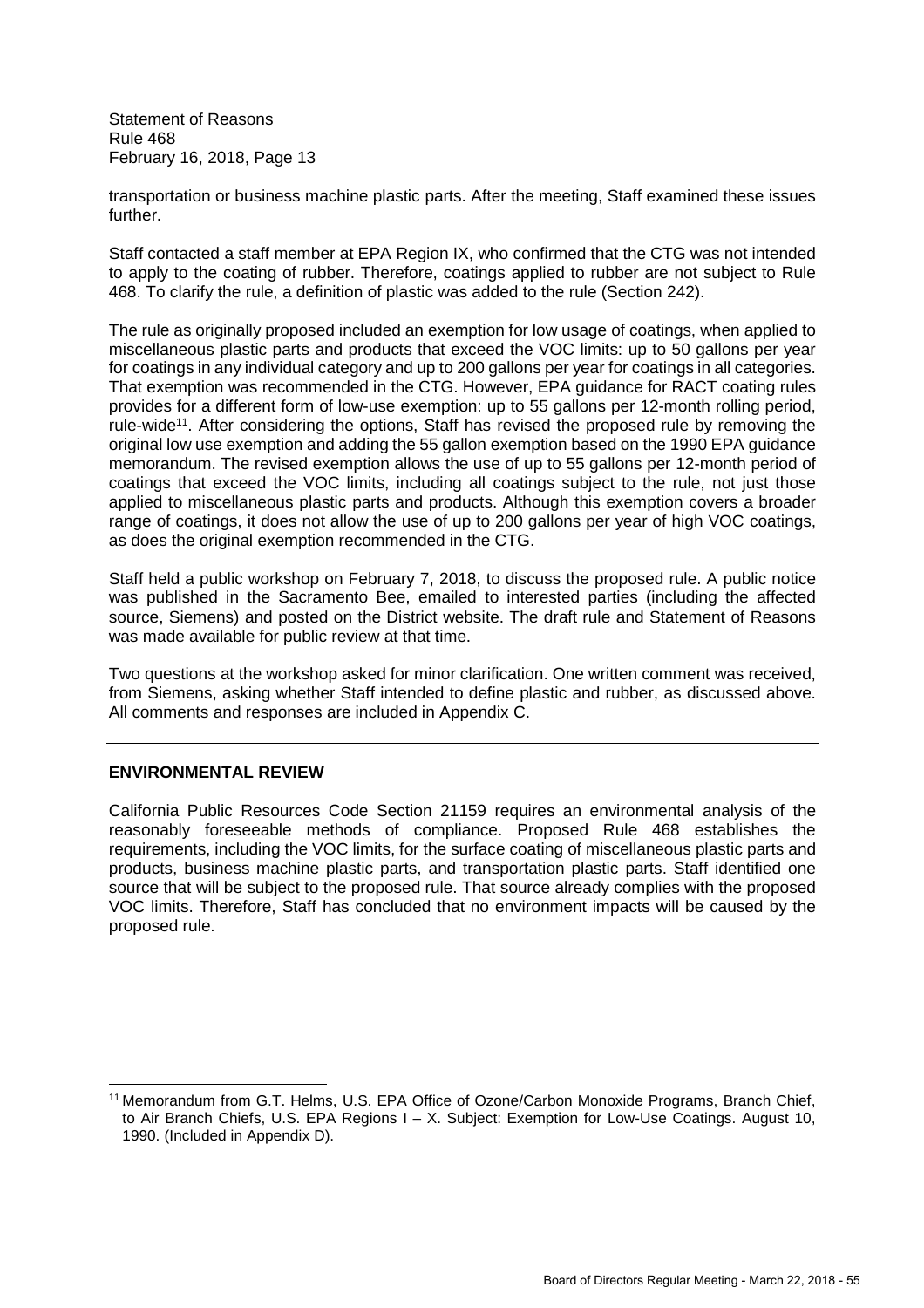transportation or business machine plastic parts. After the meeting, Staff examined these issues further.

Staff contacted a staff member at EPA Region IX, who confirmed that the CTG was not intended to apply to the coating of rubber. Therefore, coatings applied to rubber are not subject to Rule 468. To clarify the rule, a definition of plastic was added to the rule (Section 242).

The rule as originally proposed included an exemption for low usage of coatings, when applied to miscellaneous plastic parts and products that exceed the VOC limits: up to 50 gallons per year for coatings in any individual category and up to 200 gallons per year for coatings in all categories. That exemption was recommended in the CTG. However, EPA guidance for RACT coating rules provides for a different form of low-use exemption: up to 55 gallons per 12-month rolling period, rule-wide<sup>11</sup>. After considering the options, Staff has revised the proposed rule by removing the original low use exemption and adding the 55 gallon exemption based on the 1990 EPA guidance memorandum. The revised exemption allows the use of up to 55 gallons per 12-month period of coatings that exceed the VOC limits, including all coatings subject to the rule, not just those applied to miscellaneous plastic parts and products. Although this exemption covers a broader range of coatings, it does not allow the use of up to 200 gallons per year of high VOC coatings, as does the original exemption recommended in the CTG.

Staff held a public workshop on February 7, 2018, to discuss the proposed rule. A public notice was published in the Sacramento Bee, emailed to interested parties (including the affected source, Siemens) and posted on the District website. The draft rule and Statement of Reasons was made available for public review at that time.

Two questions at the workshop asked for minor clarification. One written comment was received, from Siemens, asking whether Staff intended to define plastic and rubber, as discussed above. All comments and responses are included in Appendix C.

#### **ENVIRONMENTAL REVIEW**

California Public Resources Code Section 21159 requires an environmental analysis of the reasonably foreseeable methods of compliance. Proposed Rule 468 establishes the requirements, including the VOC limits, for the surface coating of miscellaneous plastic parts and products, business machine plastic parts, and transportation plastic parts. Staff identified one source that will be subject to the proposed rule. That source already complies with the proposed VOC limits. Therefore, Staff has concluded that no environment impacts will be caused by the proposed rule.

<sup>&</sup>lt;sup>11</sup> Memorandum from G.T. Helms, U.S. EPA Office of Ozone/Carbon Monoxide Programs, Branch Chief, to Air Branch Chiefs, U.S. EPA Regions I – X. Subject: Exemption for Low-Use Coatings. August 10, 1990. (Included in Appendix D).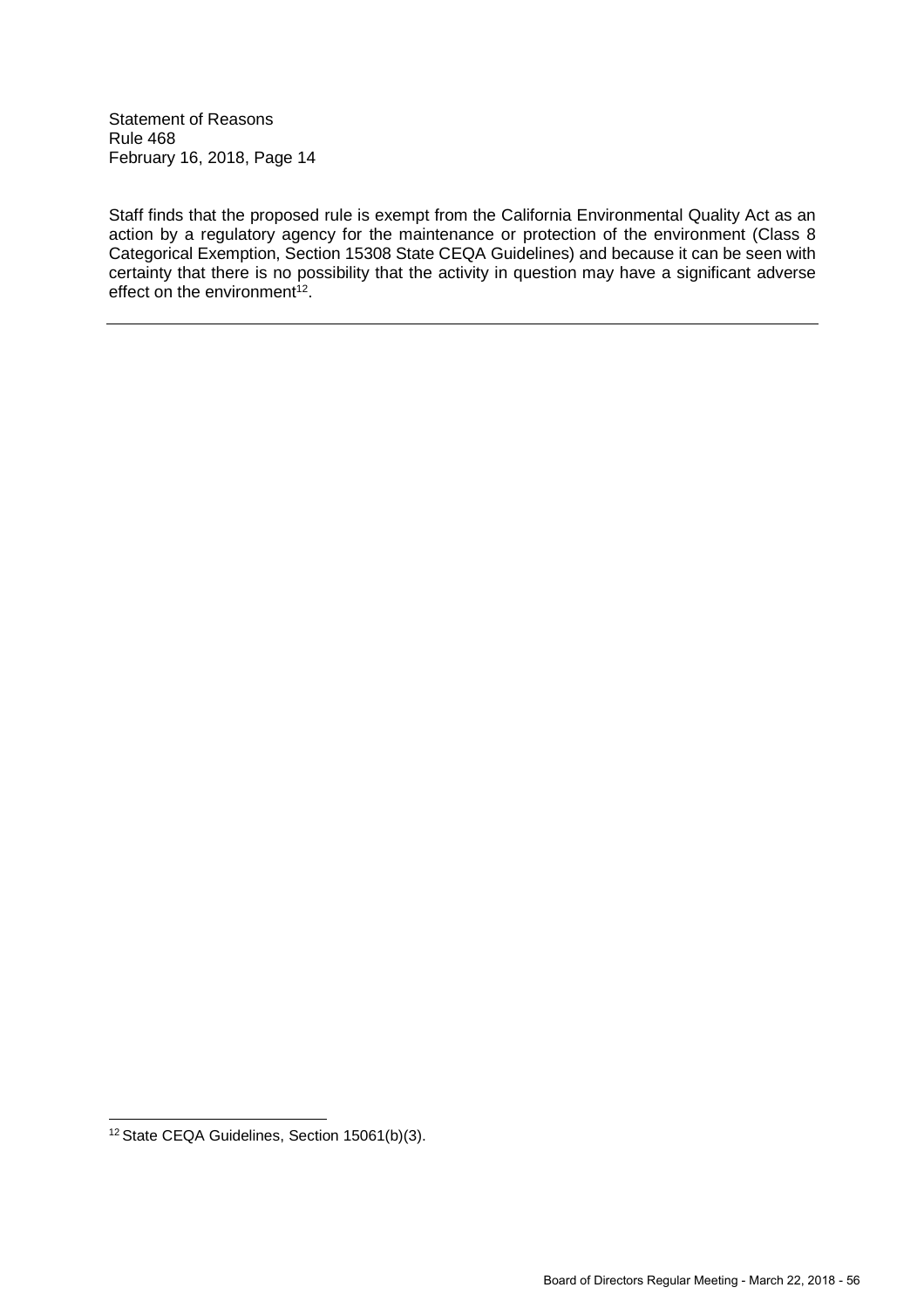Staff finds that the proposed rule is exempt from the California Environmental Quality Act as an action by a regulatory agency for the maintenance or protection of the environment (Class 8 Categorical Exemption, Section 15308 State CEQA Guidelines) and because it can be seen with certainty that there is no possibility that the activity in question may have a significant adverse effect on the environment<sup>12</sup>.

<sup>12</sup> State CEQA Guidelines, Section 15061(b)(3).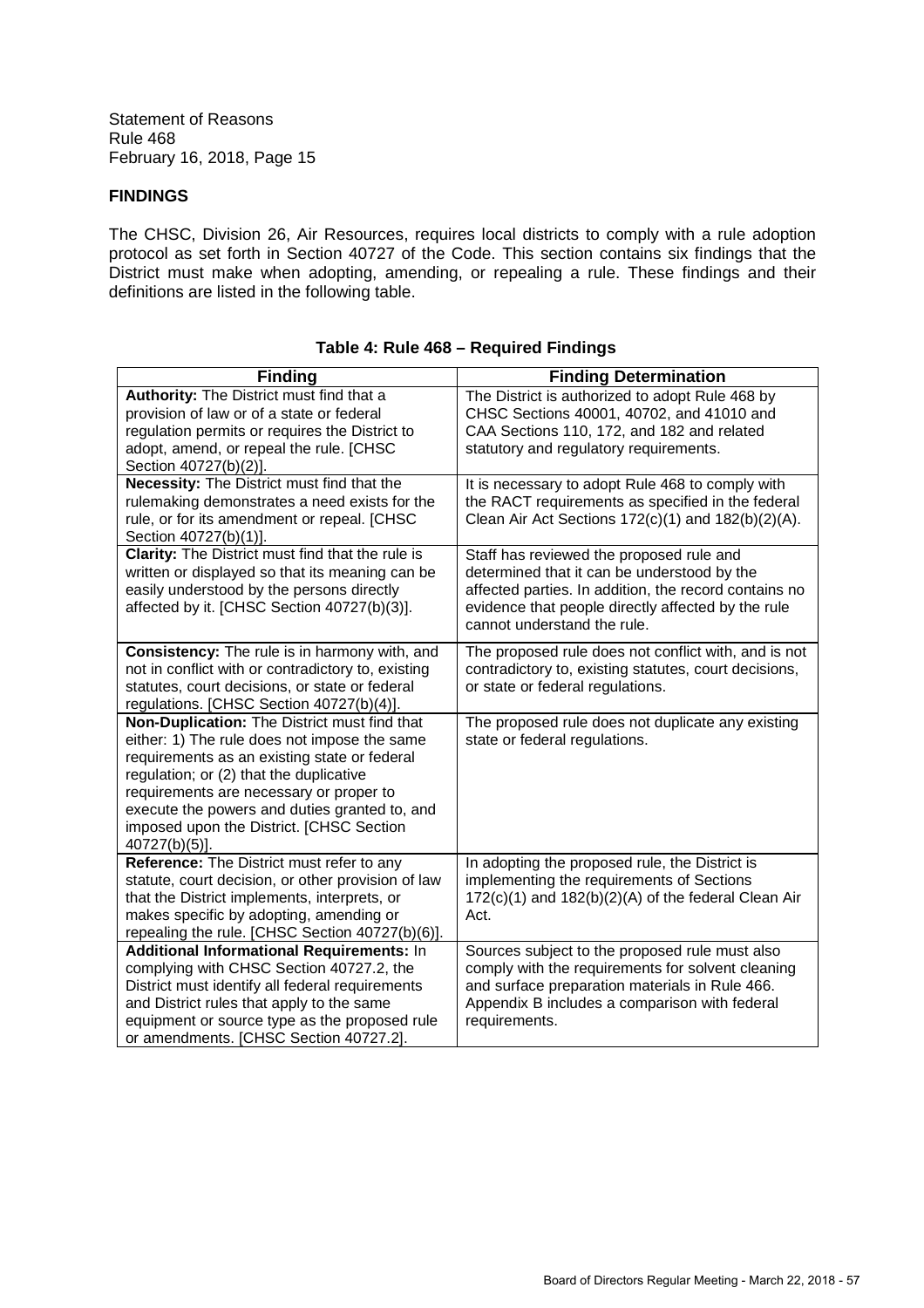# **FINDINGS**

The CHSC, Division 26, Air Resources, requires local districts to comply with a rule adoption protocol as set forth in Section 40727 of the Code. This section contains six findings that the District must make when adopting, amending, or repealing a rule. These findings and their definitions are listed in the following table.

| <b>Finding</b>                                          | <b>Finding Determination</b>                            |
|---------------------------------------------------------|---------------------------------------------------------|
| Authority: The District must find that a                | The District is authorized to adopt Rule 468 by         |
| provision of law or of a state or federal               | CHSC Sections 40001, 40702, and 41010 and               |
| regulation permits or requires the District to          | CAA Sections 110, 172, and 182 and related              |
| adopt, amend, or repeal the rule. [CHSC                 | statutory and regulatory requirements.                  |
| Section 40727(b)(2)].                                   |                                                         |
| <b>Necessity:</b> The District must find that the       | It is necessary to adopt Rule 468 to comply with        |
| rulemaking demonstrates a need exists for the           | the RACT requirements as specified in the federal       |
| rule, or for its amendment or repeal. [CHSC             | Clean Air Act Sections $172(c)(1)$ and $182(b)(2)(A)$ . |
| Section 40727(b)(1)].                                   |                                                         |
| <b>Clarity:</b> The District must find that the rule is | Staff has reviewed the proposed rule and                |
| written or displayed so that its meaning can be         | determined that it can be understood by the             |
| easily understood by the persons directly               | affected parties. In addition, the record contains no   |
| affected by it. [CHSC Section 40727(b)(3)].             | evidence that people directly affected by the rule      |
|                                                         | cannot understand the rule.                             |
| Consistency: The rule is in harmony with, and           | The proposed rule does not conflict with, and is not    |
| not in conflict with or contradictory to, existing      | contradictory to, existing statutes, court decisions,   |
| statutes, court decisions, or state or federal          | or state or federal regulations.                        |
| regulations. [CHSC Section 40727(b)(4)].                |                                                         |
| Non-Duplication: The District must find that            | The proposed rule does not duplicate any existing       |
| either: 1) The rule does not impose the same            | state or federal regulations.                           |
| requirements as an existing state or federal            |                                                         |
| regulation; or (2) that the duplicative                 |                                                         |
| requirements are necessary or proper to                 |                                                         |
| execute the powers and duties granted to, and           |                                                         |
| imposed upon the District. [CHSC Section                |                                                         |
| 40727(b)(5)].                                           |                                                         |
| Reference: The District must refer to any               | In adopting the proposed rule, the District is          |
| statute, court decision, or other provision of law      | implementing the requirements of Sections               |
| that the District implements, interprets, or            | 172(c)(1) and 182(b)(2)(A) of the federal Clean Air     |
| makes specific by adopting, amending or                 | Act.                                                    |
| repealing the rule. [CHSC Section 40727(b)(6)].         |                                                         |
| Additional Informational Requirements: In               | Sources subject to the proposed rule must also          |
| complying with CHSC Section 40727.2, the                | comply with the requirements for solvent cleaning       |
| District must identify all federal requirements         | and surface preparation materials in Rule 466.          |
| and District rules that apply to the same               | Appendix B includes a comparison with federal           |
| equipment or source type as the proposed rule           | requirements.                                           |
| or amendments. [CHSC Section 40727.2].                  |                                                         |

# **Table 4: Rule 468 – Required Findings**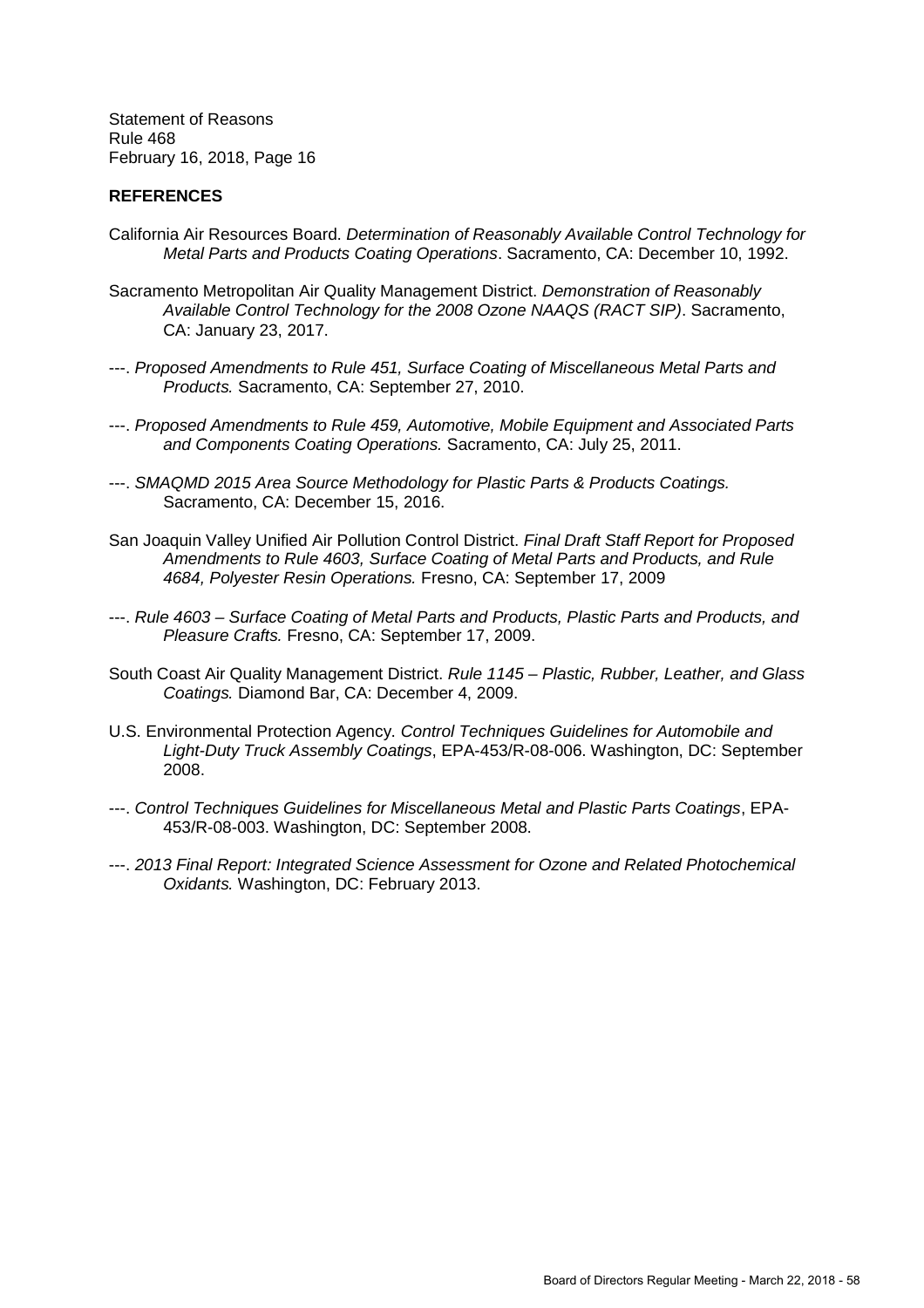#### **REFERENCES**

- California Air Resources Board. *Determination of Reasonably Available Control Technology for Metal Parts and Products Coating Operations*. Sacramento, CA: December 10, 1992.
- Sacramento Metropolitan Air Quality Management District. *Demonstration of Reasonably Available Control Technology for the 2008 Ozone NAAQS (RACT SIP)*. Sacramento, CA: January 23, 2017.
- ---. *Proposed Amendments to Rule 451, Surface Coating of Miscellaneous Metal Parts and Products.* Sacramento, CA: September 27, 2010.
- ---. *Proposed Amendments to Rule 459, Automotive, Mobile Equipment and Associated Parts and Components Coating Operations.* Sacramento, CA: July 25, 2011.
- ---. *SMAQMD 2015 Area Source Methodology for Plastic Parts & Products Coatings.* Sacramento, CA: December 15, 2016.
- San Joaquin Valley Unified Air Pollution Control District. *Final Draft Staff Report for Proposed Amendments to Rule 4603, Surface Coating of Metal Parts and Products, and Rule 4684, Polyester Resin Operations.* Fresno, CA: September 17, 2009
- ---. *Rule 4603 Surface Coating of Metal Parts and Products, Plastic Parts and Products, and Pleasure Crafts.* Fresno, CA: September 17, 2009.
- South Coast Air Quality Management District. *Rule 1145 Plastic, Rubber, Leather, and Glass Coatings.* Diamond Bar, CA: December 4, 2009.
- U.S. Environmental Protection Agency. *Control Techniques Guidelines for Automobile and Light-Duty Truck Assembly Coatings*, EPA-453/R-08-006. Washington, DC: September 2008.
- ---. *Control Techniques Guidelines for Miscellaneous Metal and Plastic Parts Coatings*, EPA-453/R-08-003. Washington, DC: September 2008.
- ---. *2013 Final Report: Integrated Science Assessment for Ozone and Related Photochemical Oxidants.* Washington, DC: February 2013.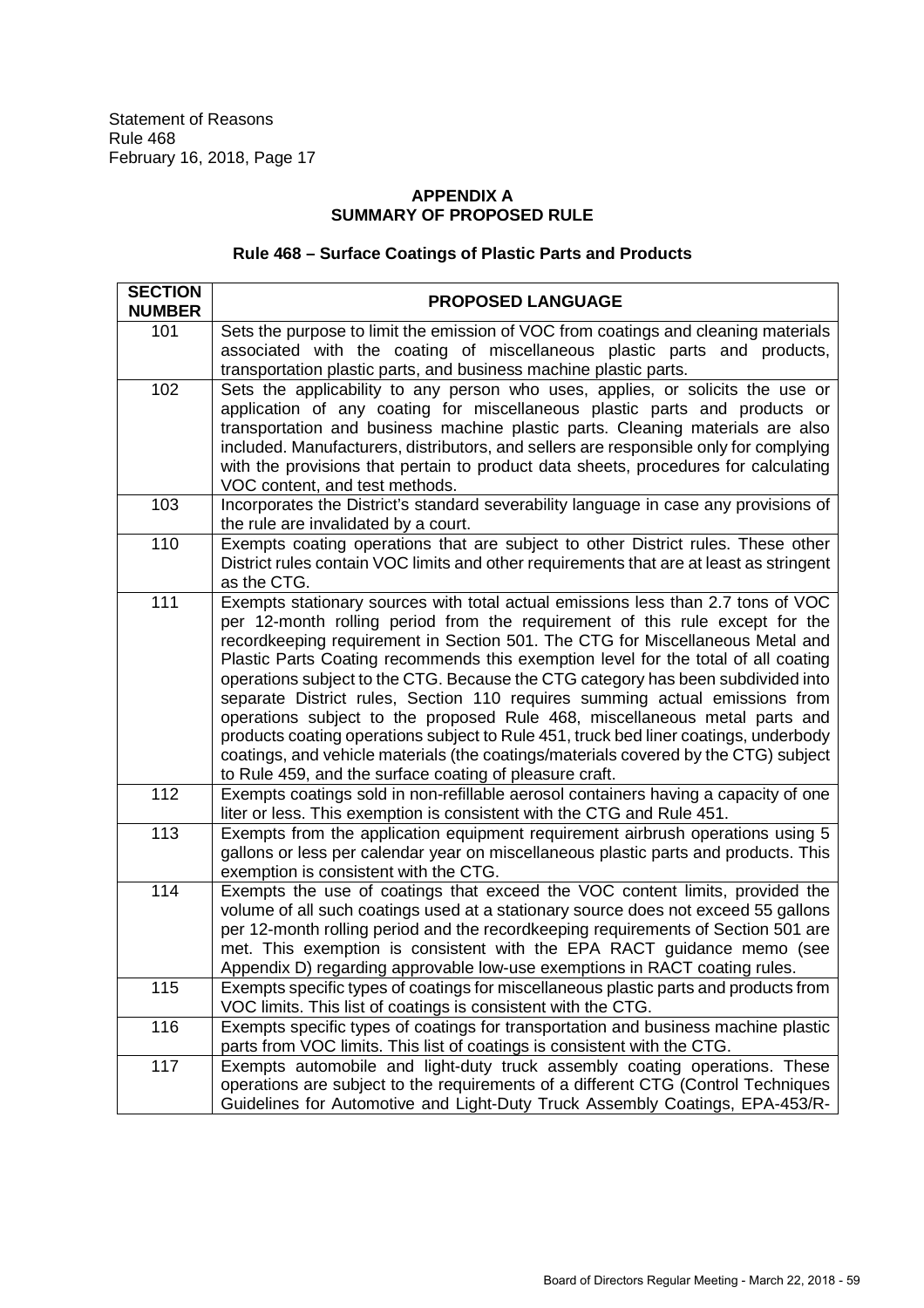# **APPENDIX A SUMMARY OF PROPOSED RULE**

# **Rule 468 – Surface Coatings of Plastic Parts and Products**

| <b>SECTION</b> | <b>PROPOSED LANGUAGE</b>                                                                                                                                                                                                                                                                                                                                                                                                                                                                                                                                                                                                                                                                                                                                                                                                           |  |
|----------------|------------------------------------------------------------------------------------------------------------------------------------------------------------------------------------------------------------------------------------------------------------------------------------------------------------------------------------------------------------------------------------------------------------------------------------------------------------------------------------------------------------------------------------------------------------------------------------------------------------------------------------------------------------------------------------------------------------------------------------------------------------------------------------------------------------------------------------|--|
| <b>NUMBER</b>  |                                                                                                                                                                                                                                                                                                                                                                                                                                                                                                                                                                                                                                                                                                                                                                                                                                    |  |
| 101            | Sets the purpose to limit the emission of VOC from coatings and cleaning materials<br>associated with the coating of miscellaneous plastic parts and products,<br>transportation plastic parts, and business machine plastic parts.                                                                                                                                                                                                                                                                                                                                                                                                                                                                                                                                                                                                |  |
| 102            | Sets the applicability to any person who uses, applies, or solicits the use or<br>application of any coating for miscellaneous plastic parts and products or<br>transportation and business machine plastic parts. Cleaning materials are also<br>included. Manufacturers, distributors, and sellers are responsible only for complying<br>with the provisions that pertain to product data sheets, procedures for calculating<br>VOC content, and test methods.                                                                                                                                                                                                                                                                                                                                                                   |  |
| 103            | Incorporates the District's standard severability language in case any provisions of<br>the rule are invalidated by a court.                                                                                                                                                                                                                                                                                                                                                                                                                                                                                                                                                                                                                                                                                                       |  |
| 110            | Exempts coating operations that are subject to other District rules. These other<br>District rules contain VOC limits and other requirements that are at least as stringent<br>as the CTG.                                                                                                                                                                                                                                                                                                                                                                                                                                                                                                                                                                                                                                         |  |
| 111            | Exempts stationary sources with total actual emissions less than 2.7 tons of VOC<br>per 12-month rolling period from the requirement of this rule except for the<br>recordkeeping requirement in Section 501. The CTG for Miscellaneous Metal and<br>Plastic Parts Coating recommends this exemption level for the total of all coating<br>operations subject to the CTG. Because the CTG category has been subdivided into<br>separate District rules, Section 110 requires summing actual emissions from<br>operations subject to the proposed Rule 468, miscellaneous metal parts and<br>products coating operations subject to Rule 451, truck bed liner coatings, underbody<br>coatings, and vehicle materials (the coatings/materials covered by the CTG) subject<br>to Rule 459, and the surface coating of pleasure craft. |  |
| 112            | Exempts coatings sold in non-refillable aerosol containers having a capacity of one<br>liter or less. This exemption is consistent with the CTG and Rule 451.                                                                                                                                                                                                                                                                                                                                                                                                                                                                                                                                                                                                                                                                      |  |
| 113            | Exempts from the application equipment requirement airbrush operations using 5<br>gallons or less per calendar year on miscellaneous plastic parts and products. This<br>exemption is consistent with the CTG.                                                                                                                                                                                                                                                                                                                                                                                                                                                                                                                                                                                                                     |  |
| 114            | Exempts the use of coatings that exceed the VOC content limits, provided the<br>volume of all such coatings used at a stationary source does not exceed 55 gallons<br>per 12-month rolling period and the recordkeeping requirements of Section 501 are<br>met. This exemption is consistent with the EPA RACT guidance memo (see<br>Appendix D) regarding approvable low-use exemptions in RACT coating rules.                                                                                                                                                                                                                                                                                                                                                                                                                    |  |
| 115            | Exempts specific types of coatings for miscellaneous plastic parts and products from<br>VOC limits. This list of coatings is consistent with the CTG.                                                                                                                                                                                                                                                                                                                                                                                                                                                                                                                                                                                                                                                                              |  |
| 116            | Exempts specific types of coatings for transportation and business machine plastic<br>parts from VOC limits. This list of coatings is consistent with the CTG.                                                                                                                                                                                                                                                                                                                                                                                                                                                                                                                                                                                                                                                                     |  |
| 117            | Exempts automobile and light-duty truck assembly coating operations. These<br>operations are subject to the requirements of a different CTG (Control Techniques<br>Guidelines for Automotive and Light-Duty Truck Assembly Coatings, EPA-453/R-                                                                                                                                                                                                                                                                                                                                                                                                                                                                                                                                                                                    |  |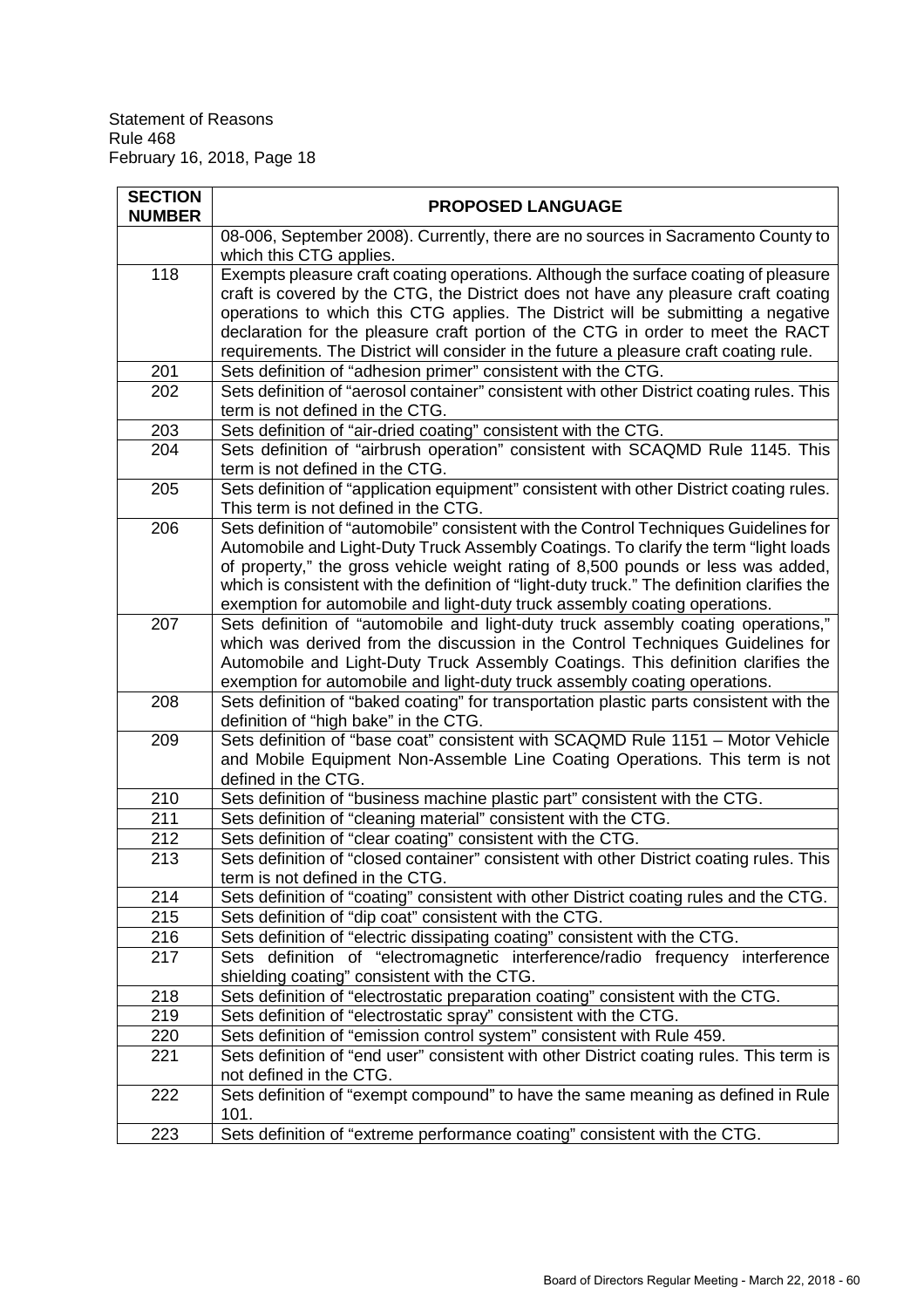| <b>SECTION</b><br><b>NUMBER</b> | <b>PROPOSED LANGUAGE</b>                                                                                                                                                                                                                                                                                                                                                                                                                      |
|---------------------------------|-----------------------------------------------------------------------------------------------------------------------------------------------------------------------------------------------------------------------------------------------------------------------------------------------------------------------------------------------------------------------------------------------------------------------------------------------|
|                                 | 08-006, September 2008). Currently, there are no sources in Sacramento County to<br>which this CTG applies.                                                                                                                                                                                                                                                                                                                                   |
| 118                             | Exempts pleasure craft coating operations. Although the surface coating of pleasure<br>craft is covered by the CTG, the District does not have any pleasure craft coating<br>operations to which this CTG applies. The District will be submitting a negative<br>declaration for the pleasure craft portion of the CTG in order to meet the RACT<br>requirements. The District will consider in the future a pleasure craft coating rule.     |
| 201                             | Sets definition of "adhesion primer" consistent with the CTG.                                                                                                                                                                                                                                                                                                                                                                                 |
| 202                             | Sets definition of "aerosol container" consistent with other District coating rules. This<br>term is not defined in the CTG.                                                                                                                                                                                                                                                                                                                  |
| 203                             | Sets definition of "air-dried coating" consistent with the CTG.                                                                                                                                                                                                                                                                                                                                                                               |
| 204                             | Sets definition of "airbrush operation" consistent with SCAQMD Rule 1145. This<br>term is not defined in the CTG.                                                                                                                                                                                                                                                                                                                             |
| 205                             | Sets definition of "application equipment" consistent with other District coating rules.<br>This term is not defined in the CTG.                                                                                                                                                                                                                                                                                                              |
| 206                             | Sets definition of "automobile" consistent with the Control Techniques Guidelines for<br>Automobile and Light-Duty Truck Assembly Coatings. To clarify the term "light loads<br>of property," the gross vehicle weight rating of 8,500 pounds or less was added,<br>which is consistent with the definition of "light-duty truck." The definition clarifies the<br>exemption for automobile and light-duty truck assembly coating operations. |
| 207                             | Sets definition of "automobile and light-duty truck assembly coating operations,"<br>which was derived from the discussion in the Control Techniques Guidelines for<br>Automobile and Light-Duty Truck Assembly Coatings. This definition clarifies the<br>exemption for automobile and light-duty truck assembly coating operations.                                                                                                         |
| 208                             | Sets definition of "baked coating" for transportation plastic parts consistent with the<br>definition of "high bake" in the CTG.                                                                                                                                                                                                                                                                                                              |
| 209                             | Sets definition of "base coat" consistent with SCAQMD Rule 1151 - Motor Vehicle<br>and Mobile Equipment Non-Assemble Line Coating Operations. This term is not<br>defined in the CTG.                                                                                                                                                                                                                                                         |
| 210                             | Sets definition of "business machine plastic part" consistent with the CTG.                                                                                                                                                                                                                                                                                                                                                                   |
| 211                             | Sets definition of "cleaning material" consistent with the CTG.                                                                                                                                                                                                                                                                                                                                                                               |
| 212                             | Sets definition of "clear coating" consistent with the CTG.                                                                                                                                                                                                                                                                                                                                                                                   |
| 213                             | Sets definition of "closed container" consistent with other District coating rules. This<br>term is not defined in the CTG.                                                                                                                                                                                                                                                                                                                   |
| 214                             | Sets definition of "coating" consistent with other District coating rules and the CTG.                                                                                                                                                                                                                                                                                                                                                        |
| 215                             | Sets definition of "dip coat" consistent with the CTG.                                                                                                                                                                                                                                                                                                                                                                                        |
| 216                             | Sets definition of "electric dissipating coating" consistent with the CTG.                                                                                                                                                                                                                                                                                                                                                                    |
| 217                             | Sets definition of "electromagnetic interference/radio frequency interference<br>shielding coating" consistent with the CTG.                                                                                                                                                                                                                                                                                                                  |
| 218                             | Sets definition of "electrostatic preparation coating" consistent with the CTG.                                                                                                                                                                                                                                                                                                                                                               |
| 219                             | Sets definition of "electrostatic spray" consistent with the CTG.                                                                                                                                                                                                                                                                                                                                                                             |
| 220                             | Sets definition of "emission control system" consistent with Rule 459.                                                                                                                                                                                                                                                                                                                                                                        |
| 221                             | Sets definition of "end user" consistent with other District coating rules. This term is<br>not defined in the CTG.                                                                                                                                                                                                                                                                                                                           |
| 222                             | Sets definition of "exempt compound" to have the same meaning as defined in Rule<br>101.                                                                                                                                                                                                                                                                                                                                                      |
| 223                             | Sets definition of "extreme performance coating" consistent with the CTG.                                                                                                                                                                                                                                                                                                                                                                     |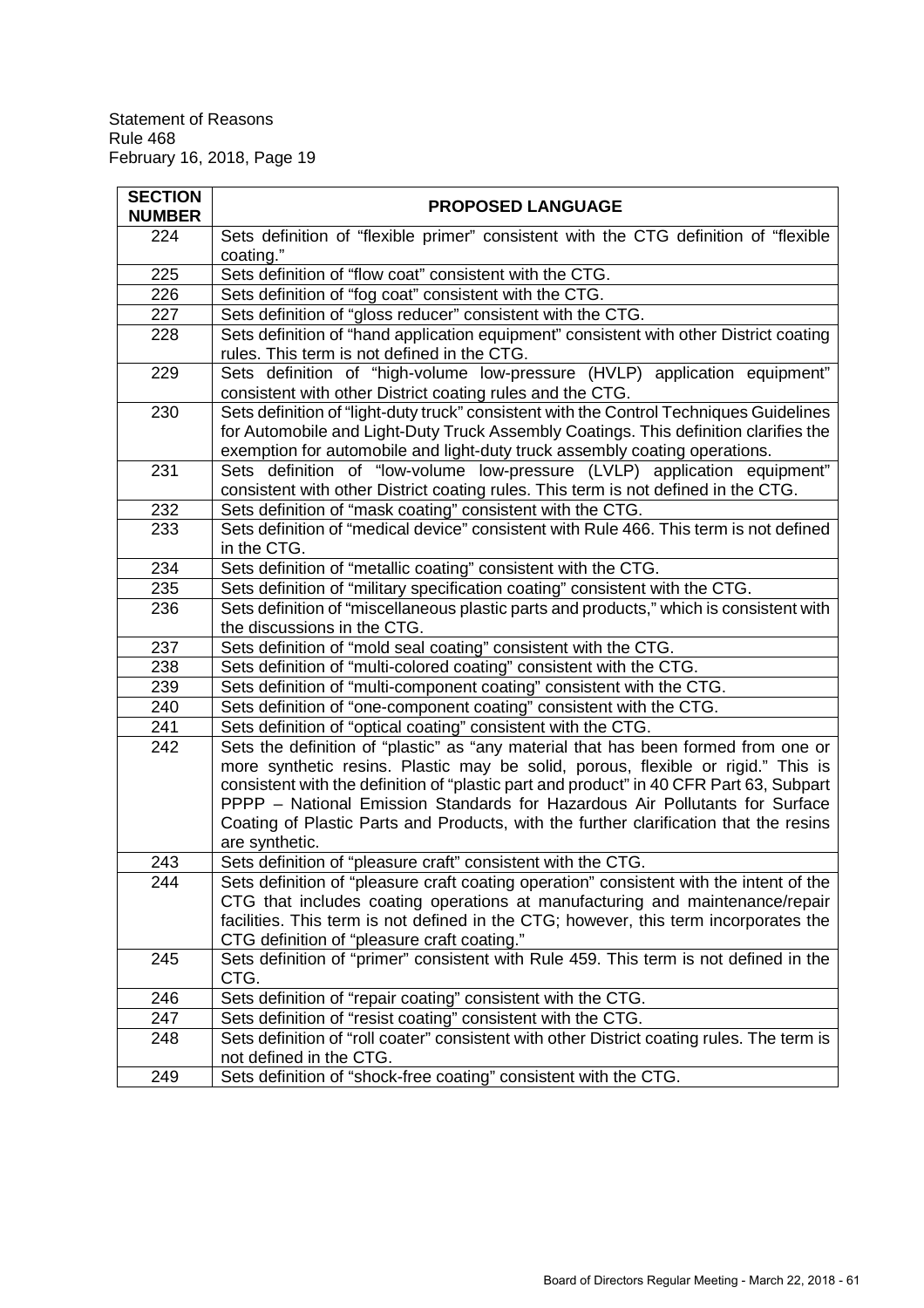| <b>SECTION</b> |                                                                                                                                                                                                                                                                                                                                                                                                                                                             |
|----------------|-------------------------------------------------------------------------------------------------------------------------------------------------------------------------------------------------------------------------------------------------------------------------------------------------------------------------------------------------------------------------------------------------------------------------------------------------------------|
| <b>NUMBER</b>  | <b>PROPOSED LANGUAGE</b>                                                                                                                                                                                                                                                                                                                                                                                                                                    |
| 224            | Sets definition of "flexible primer" consistent with the CTG definition of "flexible<br>coating."                                                                                                                                                                                                                                                                                                                                                           |
| 225            | Sets definition of "flow coat" consistent with the CTG.                                                                                                                                                                                                                                                                                                                                                                                                     |
| 226            | Sets definition of "fog coat" consistent with the CTG.                                                                                                                                                                                                                                                                                                                                                                                                      |
| 227            | Sets definition of "gloss reducer" consistent with the CTG.                                                                                                                                                                                                                                                                                                                                                                                                 |
| 228            | Sets definition of "hand application equipment" consistent with other District coating<br>rules. This term is not defined in the CTG.                                                                                                                                                                                                                                                                                                                       |
| 229            | Sets definition of "high-volume low-pressure (HVLP) application equipment"<br>consistent with other District coating rules and the CTG.                                                                                                                                                                                                                                                                                                                     |
| 230            | Sets definition of "light-duty truck" consistent with the Control Techniques Guidelines<br>for Automobile and Light-Duty Truck Assembly Coatings. This definition clarifies the<br>exemption for automobile and light-duty truck assembly coating operations.                                                                                                                                                                                               |
| 231            | Sets definition of "low-volume low-pressure (LVLP) application equipment"<br>consistent with other District coating rules. This term is not defined in the CTG.                                                                                                                                                                                                                                                                                             |
| 232            | Sets definition of "mask coating" consistent with the CTG.                                                                                                                                                                                                                                                                                                                                                                                                  |
| 233            | Sets definition of "medical device" consistent with Rule 466. This term is not defined<br>in the CTG.                                                                                                                                                                                                                                                                                                                                                       |
| 234            | Sets definition of "metallic coating" consistent with the CTG.                                                                                                                                                                                                                                                                                                                                                                                              |
| 235            | Sets definition of "military specification coating" consistent with the CTG.                                                                                                                                                                                                                                                                                                                                                                                |
| 236            | Sets definition of "miscellaneous plastic parts and products," which is consistent with<br>the discussions in the CTG.                                                                                                                                                                                                                                                                                                                                      |
| 237            | Sets definition of "mold seal coating" consistent with the CTG.                                                                                                                                                                                                                                                                                                                                                                                             |
| 238            | Sets definition of "multi-colored coating" consistent with the CTG.                                                                                                                                                                                                                                                                                                                                                                                         |
| 239            | Sets definition of "multi-component coating" consistent with the CTG.                                                                                                                                                                                                                                                                                                                                                                                       |
| 240            | Sets definition of "one-component coating" consistent with the CTG.                                                                                                                                                                                                                                                                                                                                                                                         |
| 241            | Sets definition of "optical coating" consistent with the CTG.                                                                                                                                                                                                                                                                                                                                                                                               |
| 242            | Sets the definition of "plastic" as "any material that has been formed from one or<br>more synthetic resins. Plastic may be solid, porous, flexible or rigid." This is<br>consistent with the definition of "plastic part and product" in 40 CFR Part 63, Subpart<br>PPPP - National Emission Standards for Hazardous Air Pollutants for Surface<br>Coating of Plastic Parts and Products, with the further clarification that the resins<br>are synthetic. |
| 243            | Sets definition of "pleasure craft" consistent with the CTG.                                                                                                                                                                                                                                                                                                                                                                                                |
| 244            | Sets definition of "pleasure craft coating operation" consistent with the intent of the<br>CTG that includes coating operations at manufacturing and maintenance/repair<br>facilities. This term is not defined in the CTG; however, this term incorporates the<br>CTG definition of "pleasure craft coating."                                                                                                                                              |
| 245            | Sets definition of "primer" consistent with Rule 459. This term is not defined in the<br>CTG.                                                                                                                                                                                                                                                                                                                                                               |
| 246            | Sets definition of "repair coating" consistent with the CTG.                                                                                                                                                                                                                                                                                                                                                                                                |
| 247            | Sets definition of "resist coating" consistent with the CTG.                                                                                                                                                                                                                                                                                                                                                                                                |
| 248            | Sets definition of "roll coater" consistent with other District coating rules. The term is<br>not defined in the CTG.                                                                                                                                                                                                                                                                                                                                       |
| 249            | Sets definition of "shock-free coating" consistent with the CTG.                                                                                                                                                                                                                                                                                                                                                                                            |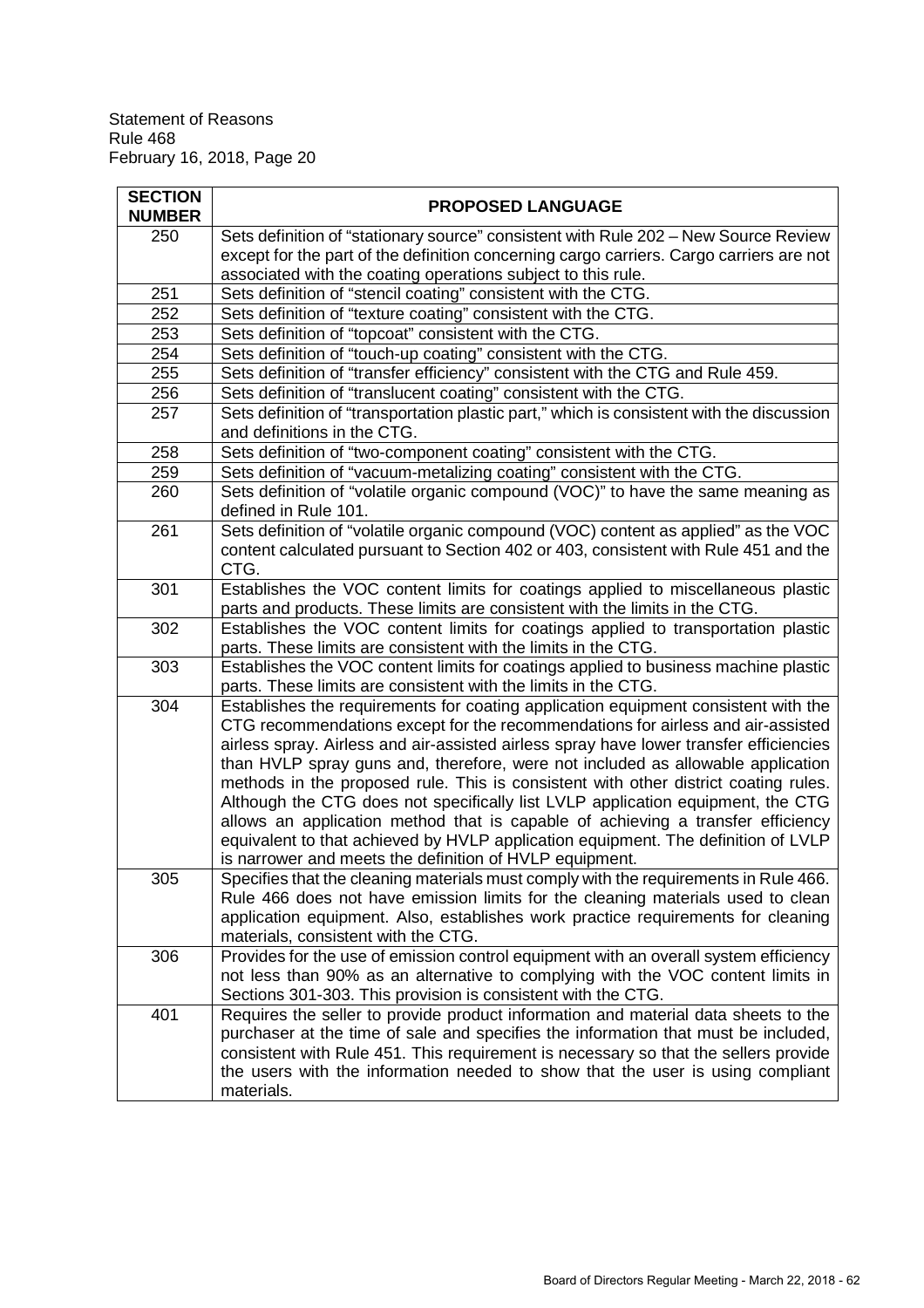| <b>SECTION</b> | <b>PROPOSED LANGUAGE</b>                                                                                                                                                  |  |
|----------------|---------------------------------------------------------------------------------------------------------------------------------------------------------------------------|--|
| <b>NUMBER</b>  |                                                                                                                                                                           |  |
| 250            | Sets definition of "stationary source" consistent with Rule 202 - New Source Review                                                                                       |  |
|                | except for the part of the definition concerning cargo carriers. Cargo carriers are not                                                                                   |  |
|                | associated with the coating operations subject to this rule.                                                                                                              |  |
| 251            | Sets definition of "stencil coating" consistent with the CTG.                                                                                                             |  |
| 252            | Sets definition of "texture coating" consistent with the CTG.                                                                                                             |  |
| 253            | Sets definition of "topcoat" consistent with the CTG.                                                                                                                     |  |
| 254            | Sets definition of "touch-up coating" consistent with the CTG.                                                                                                            |  |
| 255            | Sets definition of "transfer efficiency" consistent with the CTG and Rule 459.                                                                                            |  |
| 256            | Sets definition of "translucent coating" consistent with the CTG.                                                                                                         |  |
| 257            | Sets definition of "transportation plastic part," which is consistent with the discussion                                                                                 |  |
|                | and definitions in the CTG.                                                                                                                                               |  |
| 258            | Sets definition of "two-component coating" consistent with the CTG.                                                                                                       |  |
| 259            | Sets definition of "vacuum-metalizing coating" consistent with the CTG.                                                                                                   |  |
| 260            | Sets definition of "volatile organic compound (VOC)" to have the same meaning as<br>defined in Rule 101.                                                                  |  |
| 261            | Sets definition of "volatile organic compound (VOC) content as applied" as the VOC<br>content calculated pursuant to Section 402 or 403, consistent with Rule 451 and the |  |
|                | CTG.                                                                                                                                                                      |  |
| 301            | Establishes the VOC content limits for coatings applied to miscellaneous plastic                                                                                          |  |
|                | parts and products. These limits are consistent with the limits in the CTG.                                                                                               |  |
| 302            | Establishes the VOC content limits for coatings applied to transportation plastic                                                                                         |  |
|                | parts. These limits are consistent with the limits in the CTG.                                                                                                            |  |
| 303            | Establishes the VOC content limits for coatings applied to business machine plastic<br>parts. These limits are consistent with the limits in the CTG.                     |  |
| 304            | Establishes the requirements for coating application equipment consistent with the                                                                                        |  |
|                | CTG recommendations except for the recommendations for airless and air-assisted                                                                                           |  |
|                | airless spray. Airless and air-assisted airless spray have lower transfer efficiencies                                                                                    |  |
|                | than HVLP spray guns and, therefore, were not included as allowable application                                                                                           |  |
|                | methods in the proposed rule. This is consistent with other district coating rules.                                                                                       |  |
|                | Although the CTG does not specifically list LVLP application equipment, the CTG                                                                                           |  |
|                | allows an application method that is capable of achieving a transfer efficiency                                                                                           |  |
|                | equivalent to that achieved by HVLP application equipment. The definition of LVLP                                                                                         |  |
|                | is narrower and meets the definition of HVLP equipment.                                                                                                                   |  |
| 305            | Specifies that the cleaning materials must comply with the requirements in Rule 466.                                                                                      |  |
|                | Rule 466 does not have emission limits for the cleaning materials used to clean                                                                                           |  |
|                | application equipment. Also, establishes work practice requirements for cleaning                                                                                          |  |
|                | materials, consistent with the CTG.                                                                                                                                       |  |
| 306            | Provides for the use of emission control equipment with an overall system efficiency                                                                                      |  |
|                | not less than 90% as an alternative to complying with the VOC content limits in                                                                                           |  |
|                | Sections 301-303. This provision is consistent with the CTG.                                                                                                              |  |
| 401            | Requires the seller to provide product information and material data sheets to the                                                                                        |  |
|                | purchaser at the time of sale and specifies the information that must be included,                                                                                        |  |
|                | consistent with Rule 451. This requirement is necessary so that the sellers provide                                                                                       |  |
|                | the users with the information needed to show that the user is using compliant                                                                                            |  |
|                | materials.                                                                                                                                                                |  |
|                |                                                                                                                                                                           |  |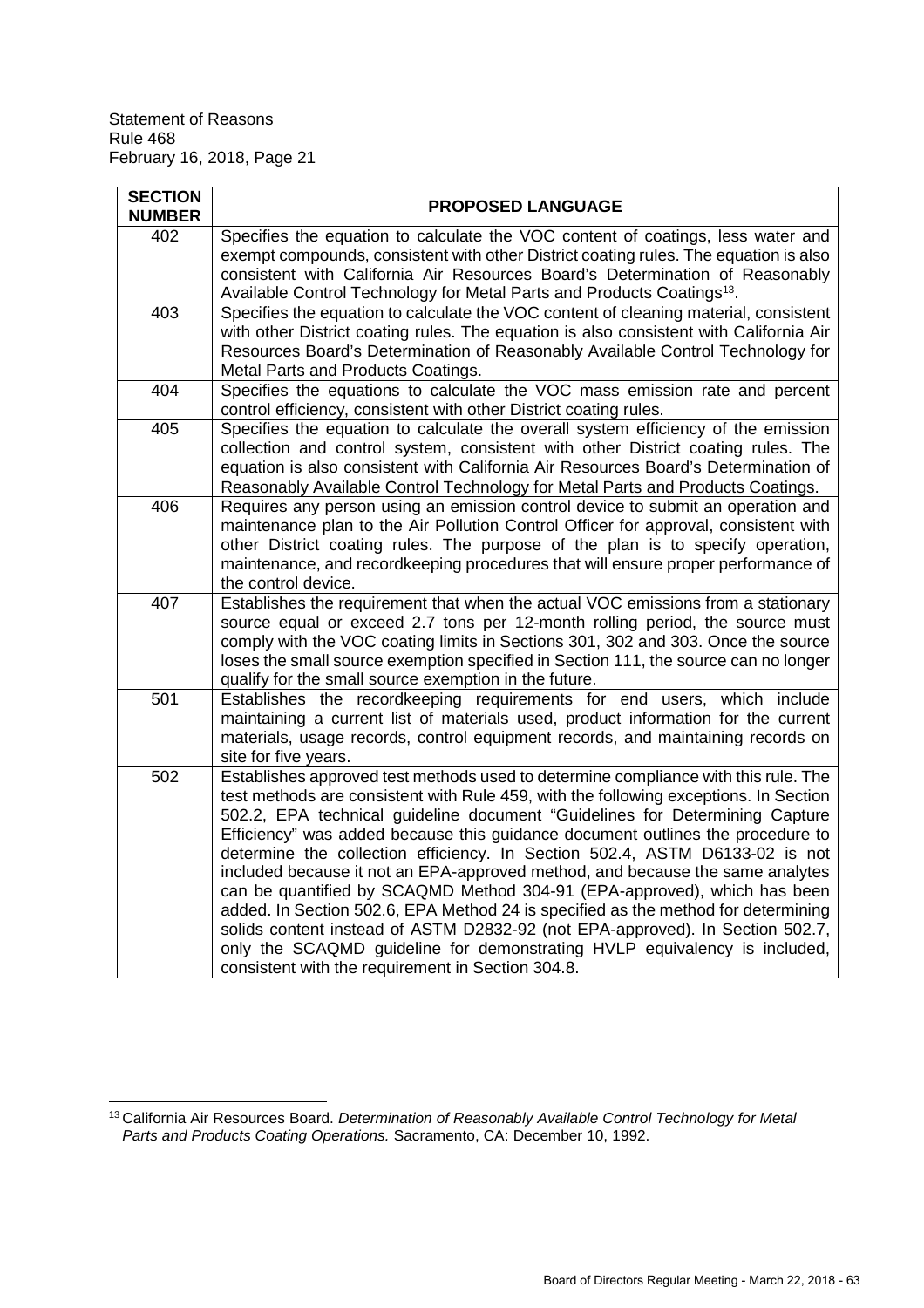| <b>SECTION</b> | <b>PROPOSED LANGUAGE</b>                                                                                                                                                                                                                                                                                                                                                                                                                                                                                                                                                                                                                                                                                                                                                                                                                                                                        |
|----------------|-------------------------------------------------------------------------------------------------------------------------------------------------------------------------------------------------------------------------------------------------------------------------------------------------------------------------------------------------------------------------------------------------------------------------------------------------------------------------------------------------------------------------------------------------------------------------------------------------------------------------------------------------------------------------------------------------------------------------------------------------------------------------------------------------------------------------------------------------------------------------------------------------|
| <b>NUMBER</b>  |                                                                                                                                                                                                                                                                                                                                                                                                                                                                                                                                                                                                                                                                                                                                                                                                                                                                                                 |
| 402            | Specifies the equation to calculate the VOC content of coatings, less water and<br>exempt compounds, consistent with other District coating rules. The equation is also<br>consistent with California Air Resources Board's Determination of Reasonably<br>Available Control Technology for Metal Parts and Products Coatings <sup>13</sup> .                                                                                                                                                                                                                                                                                                                                                                                                                                                                                                                                                   |
| 403            | Specifies the equation to calculate the VOC content of cleaning material, consistent<br>with other District coating rules. The equation is also consistent with California Air<br>Resources Board's Determination of Reasonably Available Control Technology for<br>Metal Parts and Products Coatings.                                                                                                                                                                                                                                                                                                                                                                                                                                                                                                                                                                                          |
| 404            | Specifies the equations to calculate the VOC mass emission rate and percent<br>control efficiency, consistent with other District coating rules.                                                                                                                                                                                                                                                                                                                                                                                                                                                                                                                                                                                                                                                                                                                                                |
| 405            | Specifies the equation to calculate the overall system efficiency of the emission<br>collection and control system, consistent with other District coating rules. The<br>equation is also consistent with California Air Resources Board's Determination of<br>Reasonably Available Control Technology for Metal Parts and Products Coatings.                                                                                                                                                                                                                                                                                                                                                                                                                                                                                                                                                   |
| 406            | Requires any person using an emission control device to submit an operation and<br>maintenance plan to the Air Pollution Control Officer for approval, consistent with<br>other District coating rules. The purpose of the plan is to specify operation,<br>maintenance, and recordkeeping procedures that will ensure proper performance of<br>the control device.                                                                                                                                                                                                                                                                                                                                                                                                                                                                                                                             |
| 407            | Establishes the requirement that when the actual VOC emissions from a stationary<br>source equal or exceed 2.7 tons per 12-month rolling period, the source must<br>comply with the VOC coating limits in Sections 301, 302 and 303. Once the source<br>loses the small source exemption specified in Section 111, the source can no longer<br>qualify for the small source exemption in the future.                                                                                                                                                                                                                                                                                                                                                                                                                                                                                            |
| 501            | Establishes the recordkeeping requirements for end users, which include<br>maintaining a current list of materials used, product information for the current<br>materials, usage records, control equipment records, and maintaining records on<br>site for five years.                                                                                                                                                                                                                                                                                                                                                                                                                                                                                                                                                                                                                         |
| 502            | Establishes approved test methods used to determine compliance with this rule. The<br>test methods are consistent with Rule 459, with the following exceptions. In Section<br>502.2, EPA technical guideline document "Guidelines for Determining Capture<br>Efficiency" was added because this guidance document outlines the procedure to<br>determine the collection efficiency. In Section 502.4, ASTM D6133-02 is not<br>included because it not an EPA-approved method, and because the same analytes<br>can be quantified by SCAQMD Method 304-91 (EPA-approved), which has been<br>added. In Section 502.6, EPA Method 24 is specified as the method for determining<br>solids content instead of ASTM D2832-92 (not EPA-approved). In Section 502.7,<br>only the SCAQMD guideline for demonstrating HVLP equivalency is included,<br>consistent with the requirement in Section 304.8. |

<sup>13</sup> California Air Resources Board. *Determination of Reasonably Available Control Technology for Metal Parts and Products Coating Operations.* Sacramento, CA: December 10, 1992.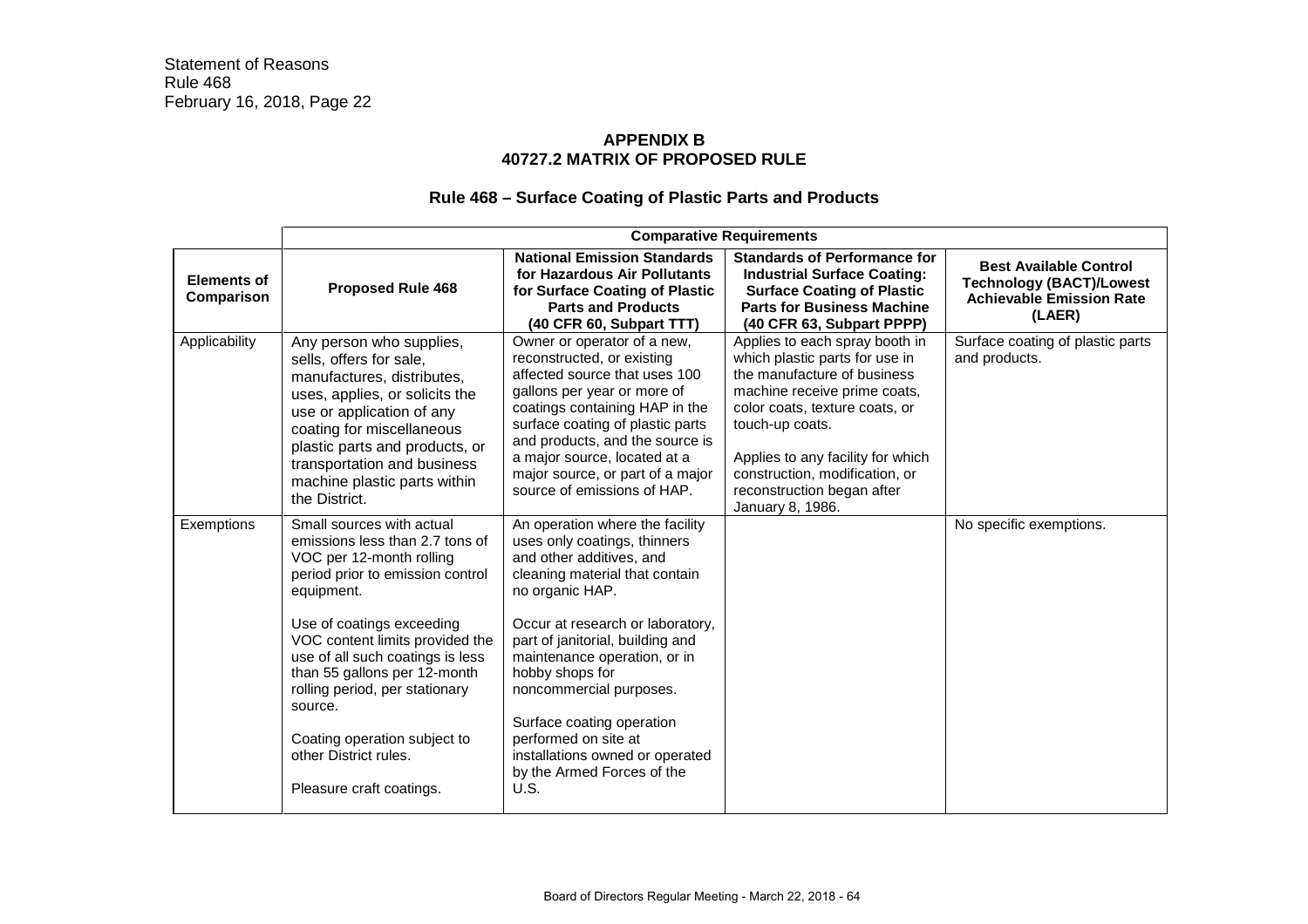# **APPENDIX B 40727.2 MATRIX OF PROPOSED RULE**

# **Rule 468 – Surface Coating of Plastic Parts and Products**

|                                  | <b>Comparative Requirements</b>                                                                                                                                                                                                                                                                                                                                                                                  |                                                                                                                                                                                                                                                                                                                                                                                                                                      |                                                                                                                                                                                                                                                                                                               |                                                                                                               |
|----------------------------------|------------------------------------------------------------------------------------------------------------------------------------------------------------------------------------------------------------------------------------------------------------------------------------------------------------------------------------------------------------------------------------------------------------------|--------------------------------------------------------------------------------------------------------------------------------------------------------------------------------------------------------------------------------------------------------------------------------------------------------------------------------------------------------------------------------------------------------------------------------------|---------------------------------------------------------------------------------------------------------------------------------------------------------------------------------------------------------------------------------------------------------------------------------------------------------------|---------------------------------------------------------------------------------------------------------------|
| <b>Elements of</b><br>Comparison | <b>Proposed Rule 468</b>                                                                                                                                                                                                                                                                                                                                                                                         | <b>National Emission Standards</b><br>for Hazardous Air Pollutants<br>for Surface Coating of Plastic<br><b>Parts and Products</b><br>(40 CFR 60, Subpart TTT)                                                                                                                                                                                                                                                                        | <b>Standards of Performance for</b><br><b>Industrial Surface Coating:</b><br><b>Surface Coating of Plastic</b><br><b>Parts for Business Machine</b><br>(40 CFR 63, Subpart PPPP)                                                                                                                              | <b>Best Available Control</b><br><b>Technology (BACT)/Lowest</b><br><b>Achievable Emission Rate</b><br>(LAER) |
| Applicability                    | Any person who supplies,<br>sells, offers for sale,<br>manufactures, distributes,<br>uses, applies, or solicits the<br>use or application of any<br>coating for miscellaneous<br>plastic parts and products, or<br>transportation and business<br>machine plastic parts within<br>the District.                                                                                                                  | Owner or operator of a new,<br>reconstructed, or existing<br>affected source that uses 100<br>gallons per year or more of<br>coatings containing HAP in the<br>surface coating of plastic parts<br>and products, and the source is<br>a major source, located at a<br>major source, or part of a major<br>source of emissions of HAP.                                                                                                | Applies to each spray booth in<br>which plastic parts for use in<br>the manufacture of business<br>machine receive prime coats,<br>color coats, texture coats, or<br>touch-up coats.<br>Applies to any facility for which<br>construction, modification, or<br>reconstruction began after<br>January 8, 1986. | Surface coating of plastic parts<br>and products.                                                             |
| Exemptions                       | Small sources with actual<br>emissions less than 2.7 tons of<br>VOC per 12-month rolling<br>period prior to emission control<br>equipment.<br>Use of coatings exceeding<br>VOC content limits provided the<br>use of all such coatings is less<br>than 55 gallons per 12-month<br>rolling period, per stationary<br>source.<br>Coating operation subject to<br>other District rules.<br>Pleasure craft coatings. | An operation where the facility<br>uses only coatings, thinners<br>and other additives, and<br>cleaning material that contain<br>no organic HAP.<br>Occur at research or laboratory,<br>part of janitorial, building and<br>maintenance operation, or in<br>hobby shops for<br>noncommercial purposes.<br>Surface coating operation<br>performed on site at<br>installations owned or operated<br>by the Armed Forces of the<br>U.S. |                                                                                                                                                                                                                                                                                                               | No specific exemptions.                                                                                       |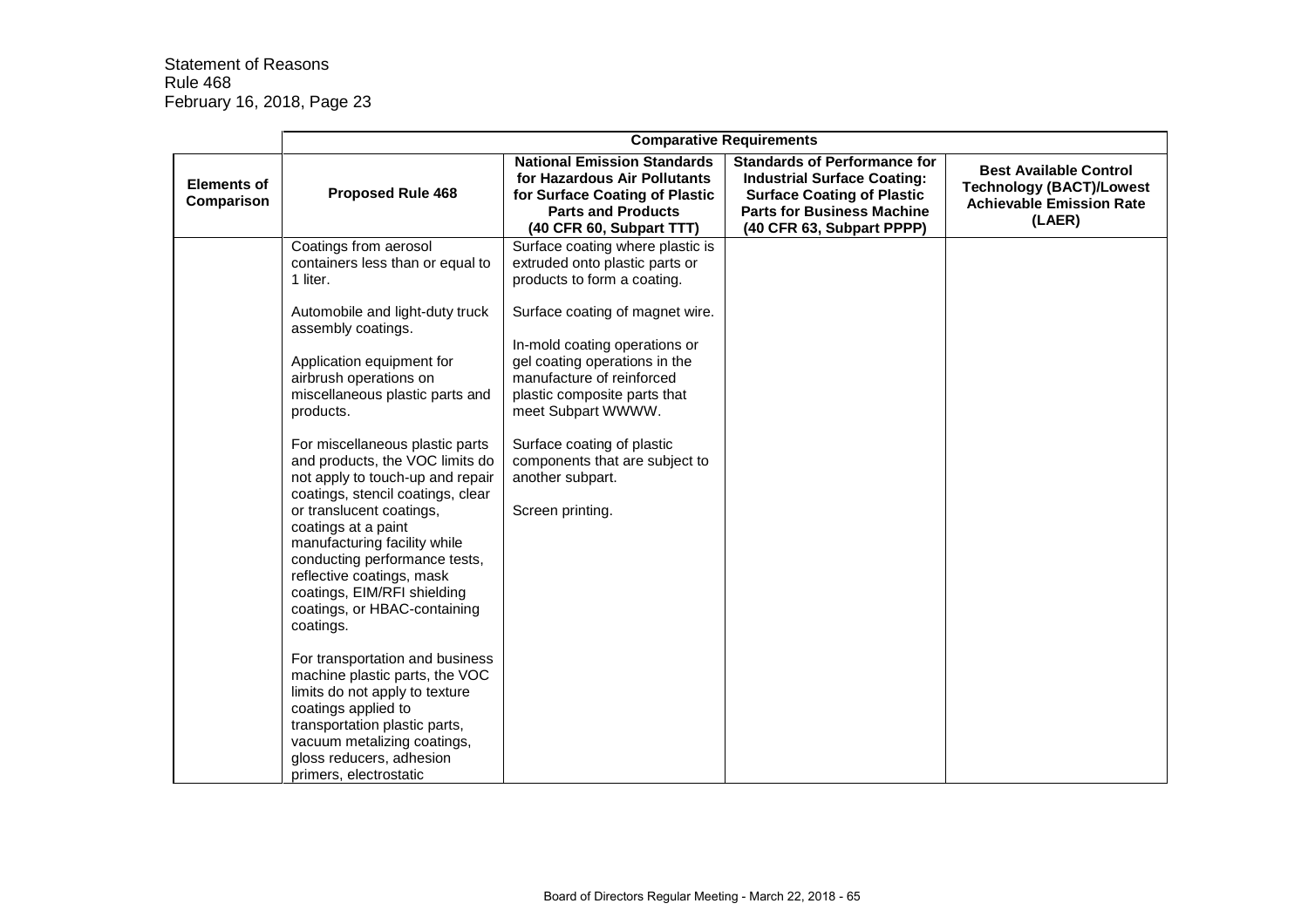|                                  | <b>Comparative Requirements</b>                                                                                                                                                                                                                                                                                                                                                                                                                                                                                                                                                                                                                                                                                                                                                                                                                                       |                                                                                                                                                                                                                                                                                                                                                                                                   |                                                                                                                                                                                  |                                                                                                               |
|----------------------------------|-----------------------------------------------------------------------------------------------------------------------------------------------------------------------------------------------------------------------------------------------------------------------------------------------------------------------------------------------------------------------------------------------------------------------------------------------------------------------------------------------------------------------------------------------------------------------------------------------------------------------------------------------------------------------------------------------------------------------------------------------------------------------------------------------------------------------------------------------------------------------|---------------------------------------------------------------------------------------------------------------------------------------------------------------------------------------------------------------------------------------------------------------------------------------------------------------------------------------------------------------------------------------------------|----------------------------------------------------------------------------------------------------------------------------------------------------------------------------------|---------------------------------------------------------------------------------------------------------------|
| <b>Elements of</b><br>Comparison | <b>Proposed Rule 468</b>                                                                                                                                                                                                                                                                                                                                                                                                                                                                                                                                                                                                                                                                                                                                                                                                                                              | <b>National Emission Standards</b><br>for Hazardous Air Pollutants<br>for Surface Coating of Plastic<br><b>Parts and Products</b><br>(40 CFR 60, Subpart TTT)                                                                                                                                                                                                                                     | <b>Standards of Performance for</b><br><b>Industrial Surface Coating:</b><br><b>Surface Coating of Plastic</b><br><b>Parts for Business Machine</b><br>(40 CFR 63, Subpart PPPP) | <b>Best Available Control</b><br><b>Technology (BACT)/Lowest</b><br><b>Achievable Emission Rate</b><br>(LAER) |
|                                  | Coatings from aerosol<br>containers less than or equal to<br>1 liter.<br>Automobile and light-duty truck<br>assembly coatings.<br>Application equipment for<br>airbrush operations on<br>miscellaneous plastic parts and<br>products.<br>For miscellaneous plastic parts<br>and products, the VOC limits do<br>not apply to touch-up and repair<br>coatings, stencil coatings, clear<br>or translucent coatings,<br>coatings at a paint<br>manufacturing facility while<br>conducting performance tests,<br>reflective coatings, mask<br>coatings, EIM/RFI shielding<br>coatings, or HBAC-containing<br>coatings.<br>For transportation and business<br>machine plastic parts, the VOC<br>limits do not apply to texture<br>coatings applied to<br>transportation plastic parts,<br>vacuum metalizing coatings,<br>gloss reducers, adhesion<br>primers, electrostatic | Surface coating where plastic is<br>extruded onto plastic parts or<br>products to form a coating.<br>Surface coating of magnet wire.<br>In-mold coating operations or<br>gel coating operations in the<br>manufacture of reinforced<br>plastic composite parts that<br>meet Subpart WWWW.<br>Surface coating of plastic<br>components that are subject to<br>another subpart.<br>Screen printing. |                                                                                                                                                                                  |                                                                                                               |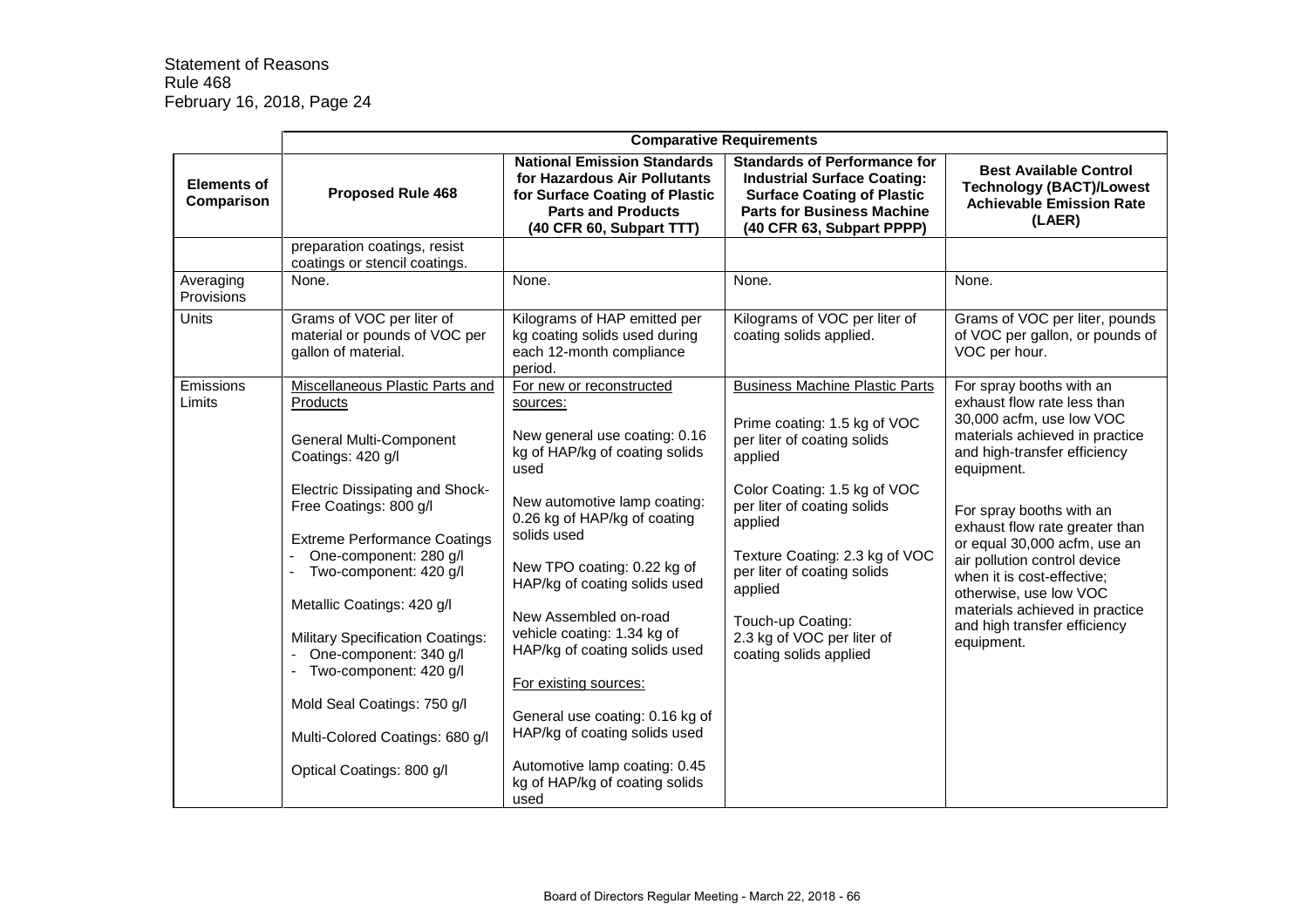|                                  | <b>Comparative Requirements</b>                                                                         |                                                                                                                                                               |                                                                                                                                                                                  |                                                                                                                      |
|----------------------------------|---------------------------------------------------------------------------------------------------------|---------------------------------------------------------------------------------------------------------------------------------------------------------------|----------------------------------------------------------------------------------------------------------------------------------------------------------------------------------|----------------------------------------------------------------------------------------------------------------------|
| <b>Elements of</b><br>Comparison | <b>Proposed Rule 468</b>                                                                                | <b>National Emission Standards</b><br>for Hazardous Air Pollutants<br>for Surface Coating of Plastic<br><b>Parts and Products</b><br>(40 CFR 60, Subpart TTT) | <b>Standards of Performance for</b><br><b>Industrial Surface Coating:</b><br><b>Surface Coating of Plastic</b><br><b>Parts for Business Machine</b><br>(40 CFR 63, Subpart PPPP) | <b>Best Available Control</b><br><b>Technology (BACT)/Lowest</b><br><b>Achievable Emission Rate</b><br>(LAER)        |
|                                  | preparation coatings, resist<br>coatings or stencil coatings.                                           |                                                                                                                                                               |                                                                                                                                                                                  |                                                                                                                      |
| Averaging<br>Provisions          | None.                                                                                                   | None.                                                                                                                                                         | None.                                                                                                                                                                            | None.                                                                                                                |
| <b>Units</b>                     | Grams of VOC per liter of<br>material or pounds of VOC per<br>gallon of material.                       | Kilograms of HAP emitted per<br>kg coating solids used during<br>each 12-month compliance<br>period.                                                          | Kilograms of VOC per liter of<br>coating solids applied.                                                                                                                         | Grams of VOC per liter, pounds<br>of VOC per gallon, or pounds of<br>VOC per hour.                                   |
| Emissions<br>Limits              | Miscellaneous Plastic Parts and<br>Products                                                             | For new or reconstructed<br>sources:                                                                                                                          | <b>Business Machine Plastic Parts</b>                                                                                                                                            | For spray booths with an<br>exhaust flow rate less than                                                              |
|                                  | <b>General Multi-Component</b><br>Coatings: 420 g/l                                                     | New general use coating: 0.16<br>kg of HAP/kg of coating solids<br>used                                                                                       | Prime coating: 1.5 kg of VOC<br>per liter of coating solids<br>applied                                                                                                           | 30,000 acfm, use low VOC<br>materials achieved in practice<br>and high-transfer efficiency<br>equipment.             |
|                                  | <b>Electric Dissipating and Shock-</b><br>Free Coatings: 800 g/l<br><b>Extreme Performance Coatings</b> | New automotive lamp coating:<br>0.26 kg of HAP/kg of coating<br>solids used                                                                                   | Color Coating: 1.5 kg of VOC<br>per liter of coating solids<br>applied                                                                                                           | For spray booths with an<br>exhaust flow rate greater than                                                           |
|                                  | One-component: 280 g/l<br>Two-component: 420 g/l                                                        | New TPO coating: 0.22 kg of<br>HAP/kg of coating solids used                                                                                                  | Texture Coating: 2.3 kg of VOC<br>per liter of coating solids<br>applied                                                                                                         | or equal 30,000 acfm, use an<br>air pollution control device<br>when it is cost-effective;<br>otherwise, use low VOC |
|                                  | Metallic Coatings: 420 g/l                                                                              | New Assembled on-road<br>vehicle coating: 1.34 kg of                                                                                                          | Touch-up Coating:                                                                                                                                                                | materials achieved in practice<br>and high transfer efficiency                                                       |
|                                  | <b>Military Specification Coatings:</b><br>One-component: 340 g/l<br>Two-component: 420 g/l             | HAP/kg of coating solids used                                                                                                                                 | 2.3 kg of VOC per liter of<br>coating solids applied                                                                                                                             | equipment.                                                                                                           |
|                                  | Mold Seal Coatings: 750 g/l                                                                             | For existing sources:<br>General use coating: 0.16 kg of                                                                                                      |                                                                                                                                                                                  |                                                                                                                      |
|                                  | Multi-Colored Coatings: 680 g/l                                                                         | HAP/kg of coating solids used                                                                                                                                 |                                                                                                                                                                                  |                                                                                                                      |
|                                  | Optical Coatings: 800 g/l                                                                               | Automotive lamp coating: 0.45<br>kg of HAP/kg of coating solids<br>used                                                                                       |                                                                                                                                                                                  |                                                                                                                      |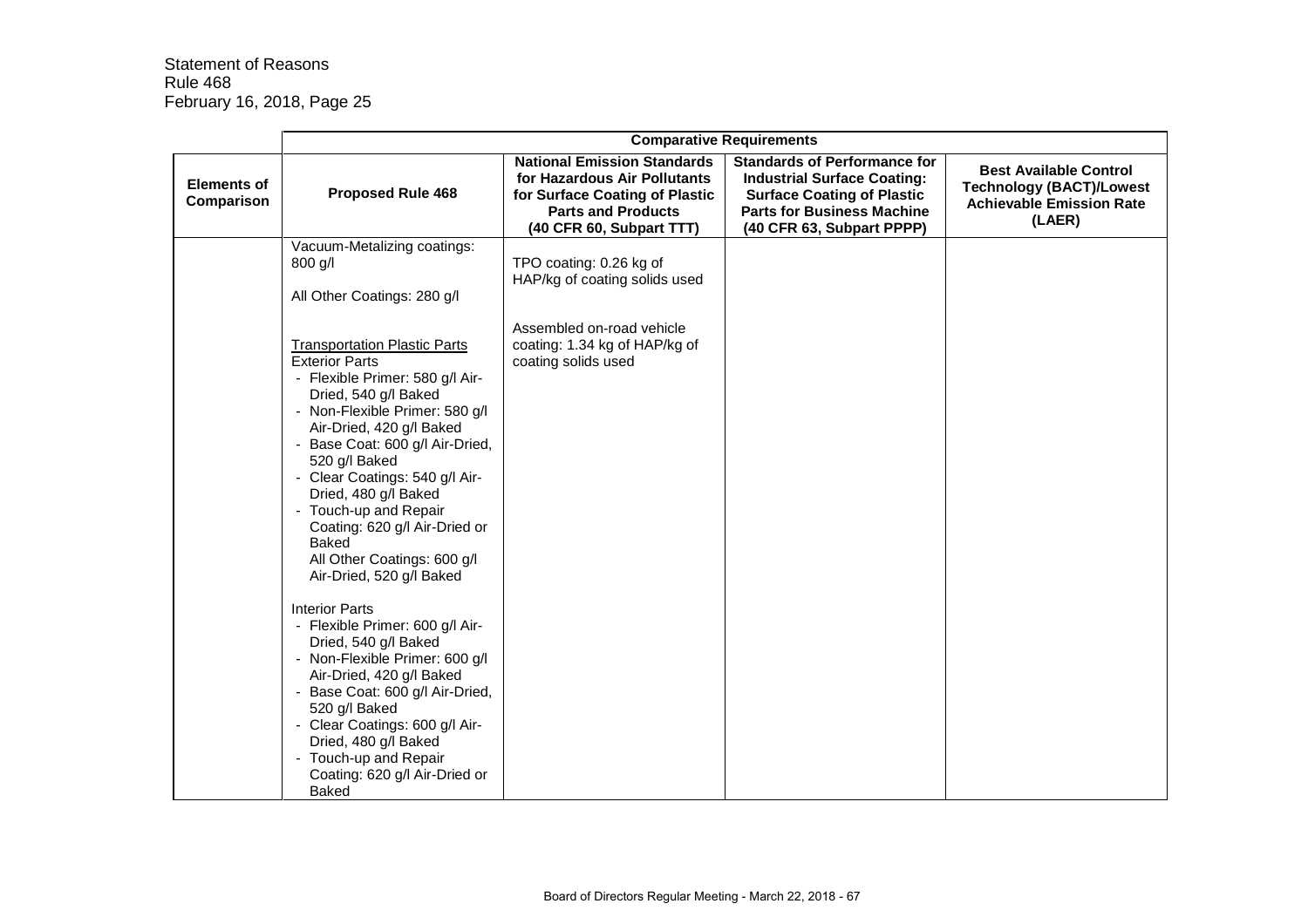|                                  | <b>Comparative Requirements</b>                                                                                                                                                                                                                                                                                                                                                                                                                                                                                                                                                                                                                                                                                                                                                  |                                                                                                                                                               |                                                                                                                                                                                  |                                                                                                               |
|----------------------------------|----------------------------------------------------------------------------------------------------------------------------------------------------------------------------------------------------------------------------------------------------------------------------------------------------------------------------------------------------------------------------------------------------------------------------------------------------------------------------------------------------------------------------------------------------------------------------------------------------------------------------------------------------------------------------------------------------------------------------------------------------------------------------------|---------------------------------------------------------------------------------------------------------------------------------------------------------------|----------------------------------------------------------------------------------------------------------------------------------------------------------------------------------|---------------------------------------------------------------------------------------------------------------|
| <b>Elements of</b><br>Comparison | <b>Proposed Rule 468</b>                                                                                                                                                                                                                                                                                                                                                                                                                                                                                                                                                                                                                                                                                                                                                         | <b>National Emission Standards</b><br>for Hazardous Air Pollutants<br>for Surface Coating of Plastic<br><b>Parts and Products</b><br>(40 CFR 60, Subpart TTT) | <b>Standards of Performance for</b><br><b>Industrial Surface Coating:</b><br><b>Surface Coating of Plastic</b><br><b>Parts for Business Machine</b><br>(40 CFR 63, Subpart PPPP) | <b>Best Available Control</b><br><b>Technology (BACT)/Lowest</b><br><b>Achievable Emission Rate</b><br>(LAER) |
|                                  | Vacuum-Metalizing coatings:<br>800 g/l<br>All Other Coatings: 280 g/l                                                                                                                                                                                                                                                                                                                                                                                                                                                                                                                                                                                                                                                                                                            | TPO coating: 0.26 kg of<br>HAP/kg of coating solids used                                                                                                      |                                                                                                                                                                                  |                                                                                                               |
|                                  | <b>Transportation Plastic Parts</b><br><b>Exterior Parts</b><br>- Flexible Primer: 580 g/l Air-<br>Dried, 540 g/l Baked<br>- Non-Flexible Primer: 580 g/l<br>Air-Dried, 420 g/l Baked<br>- Base Coat: 600 g/l Air-Dried,<br>520 g/l Baked<br>- Clear Coatings: 540 g/l Air-<br>Dried, 480 g/l Baked<br>- Touch-up and Repair<br>Coating: 620 g/l Air-Dried or<br><b>Baked</b><br>All Other Coatings: 600 g/l<br>Air-Dried, 520 g/l Baked<br><b>Interior Parts</b><br>- Flexible Primer: 600 g/l Air-<br>Dried, 540 g/l Baked<br>- Non-Flexible Primer: 600 g/l<br>Air-Dried, 420 g/l Baked<br>- Base Coat: 600 g/l Air-Dried,<br>520 g/l Baked<br>- Clear Coatings: 600 g/l Air-<br>Dried, 480 g/l Baked<br>Touch-up and Repair<br>Coating: 620 g/l Air-Dried or<br><b>Baked</b> | Assembled on-road vehicle<br>coating: 1.34 kg of HAP/kg of<br>coating solids used                                                                             |                                                                                                                                                                                  |                                                                                                               |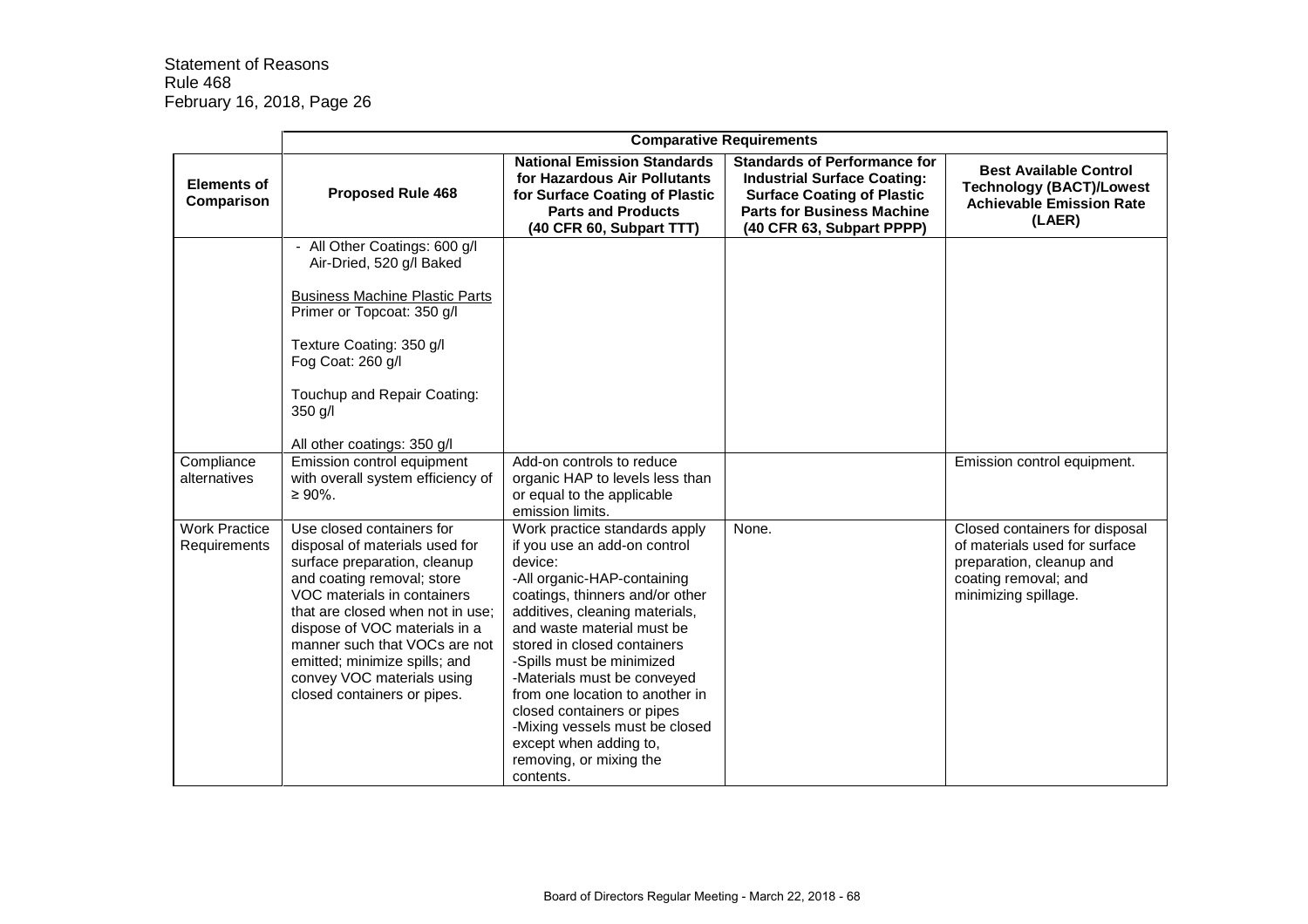|                                      | <b>Comparative Requirements</b>                                                                                                                                                                                                                                                                                                                              |                                                                                                                                                                                                                                                                                                                                                                                                                                                                            |                                                                                                                                                                                  |                                                                                                                                             |
|--------------------------------------|--------------------------------------------------------------------------------------------------------------------------------------------------------------------------------------------------------------------------------------------------------------------------------------------------------------------------------------------------------------|----------------------------------------------------------------------------------------------------------------------------------------------------------------------------------------------------------------------------------------------------------------------------------------------------------------------------------------------------------------------------------------------------------------------------------------------------------------------------|----------------------------------------------------------------------------------------------------------------------------------------------------------------------------------|---------------------------------------------------------------------------------------------------------------------------------------------|
| <b>Elements of</b><br>Comparison     | <b>Proposed Rule 468</b>                                                                                                                                                                                                                                                                                                                                     | <b>National Emission Standards</b><br>for Hazardous Air Pollutants<br>for Surface Coating of Plastic<br><b>Parts and Products</b><br>(40 CFR 60, Subpart TTT)                                                                                                                                                                                                                                                                                                              | <b>Standards of Performance for</b><br><b>Industrial Surface Coating:</b><br><b>Surface Coating of Plastic</b><br><b>Parts for Business Machine</b><br>(40 CFR 63, Subpart PPPP) | <b>Best Available Control</b><br><b>Technology (BACT)/Lowest</b><br><b>Achievable Emission Rate</b><br>(LAER)                               |
|                                      | - All Other Coatings: 600 g/l<br>Air-Dried, 520 g/l Baked<br><b>Business Machine Plastic Parts</b><br>Primer or Topcoat: 350 g/l<br>Texture Coating: 350 g/l<br>Fog Coat: 260 g/l<br>Touchup and Repair Coating:<br>350 g/l<br>All other coatings: 350 g/l                                                                                                   |                                                                                                                                                                                                                                                                                                                                                                                                                                                                            |                                                                                                                                                                                  |                                                                                                                                             |
| Compliance<br>alternatives           | Emission control equipment<br>with overall system efficiency of<br>$\geq 90\%$ .                                                                                                                                                                                                                                                                             | Add-on controls to reduce<br>organic HAP to levels less than<br>or equal to the applicable<br>emission limits.                                                                                                                                                                                                                                                                                                                                                             |                                                                                                                                                                                  | Emission control equipment.                                                                                                                 |
| <b>Work Practice</b><br>Requirements | Use closed containers for<br>disposal of materials used for<br>surface preparation, cleanup<br>and coating removal; store<br>VOC materials in containers<br>that are closed when not in use;<br>dispose of VOC materials in a<br>manner such that VOCs are not<br>emitted; minimize spills; and<br>convey VOC materials using<br>closed containers or pipes. | Work practice standards apply<br>if you use an add-on control<br>device:<br>-All organic-HAP-containing<br>coatings, thinners and/or other<br>additives, cleaning materials,<br>and waste material must be<br>stored in closed containers<br>-Spills must be minimized<br>-Materials must be conveyed<br>from one location to another in<br>closed containers or pipes<br>-Mixing vessels must be closed<br>except when adding to,<br>removing, or mixing the<br>contents. | None.                                                                                                                                                                            | Closed containers for disposal<br>of materials used for surface<br>preparation, cleanup and<br>coating removal; and<br>minimizing spillage. |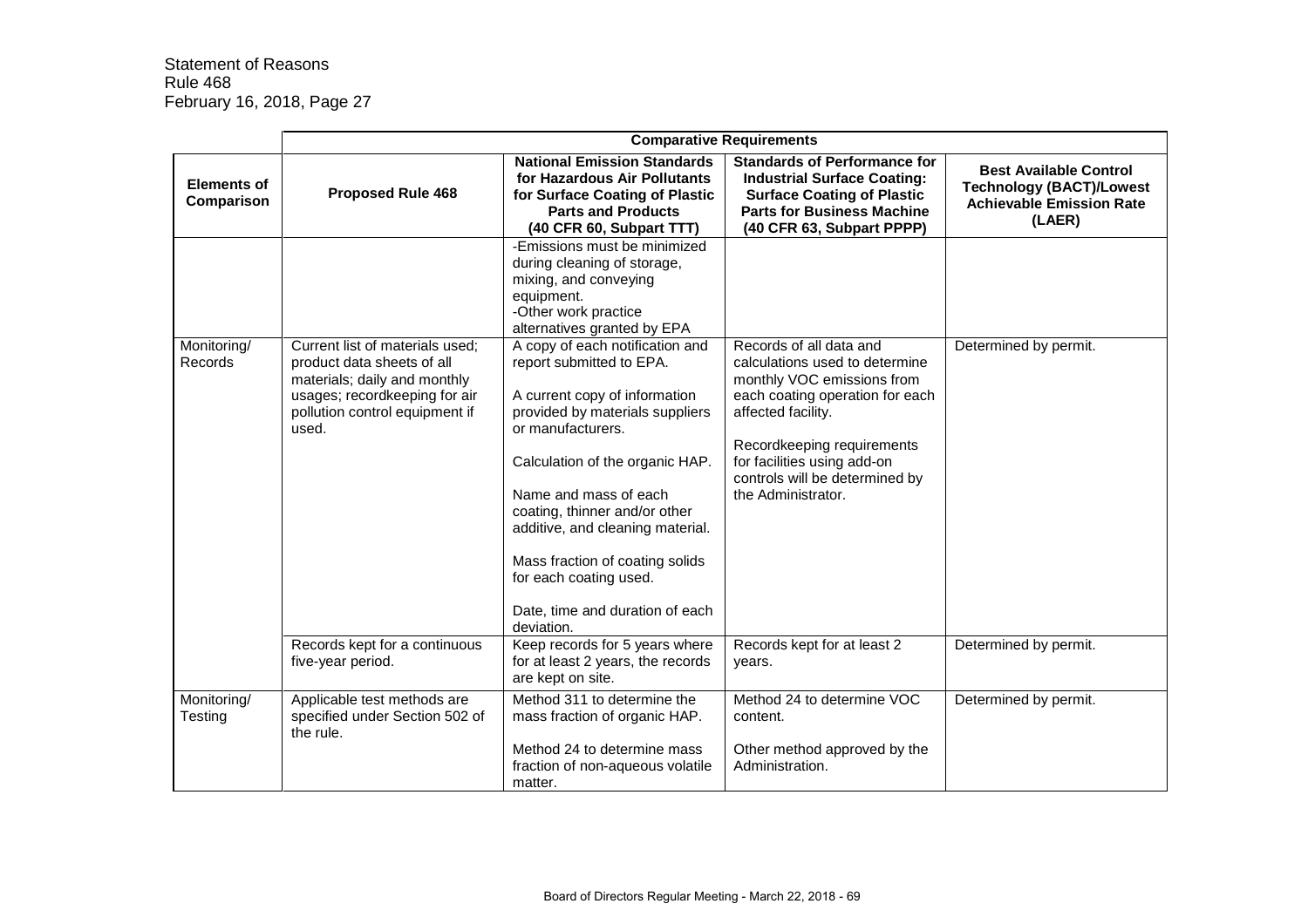|                                  | <b>Comparative Requirements</b>                                                                                                                                           |                                                                                                                                                                                                                                                                                                                                                                                                     |                                                                                                                                                                                                                                                                       |                                                                                                               |
|----------------------------------|---------------------------------------------------------------------------------------------------------------------------------------------------------------------------|-----------------------------------------------------------------------------------------------------------------------------------------------------------------------------------------------------------------------------------------------------------------------------------------------------------------------------------------------------------------------------------------------------|-----------------------------------------------------------------------------------------------------------------------------------------------------------------------------------------------------------------------------------------------------------------------|---------------------------------------------------------------------------------------------------------------|
| <b>Elements of</b><br>Comparison | <b>Proposed Rule 468</b>                                                                                                                                                  | <b>National Emission Standards</b><br>for Hazardous Air Pollutants<br>for Surface Coating of Plastic<br><b>Parts and Products</b><br>(40 CFR 60, Subpart TTT)                                                                                                                                                                                                                                       | <b>Standards of Performance for</b><br><b>Industrial Surface Coating:</b><br><b>Surface Coating of Plastic</b><br><b>Parts for Business Machine</b><br>(40 CFR 63, Subpart PPPP)                                                                                      | <b>Best Available Control</b><br><b>Technology (BACT)/Lowest</b><br><b>Achievable Emission Rate</b><br>(LAER) |
|                                  |                                                                                                                                                                           | -Emissions must be minimized<br>during cleaning of storage,<br>mixing, and conveying<br>equipment.<br>-Other work practice<br>alternatives granted by EPA                                                                                                                                                                                                                                           |                                                                                                                                                                                                                                                                       |                                                                                                               |
| Monitoring/<br>Records           | Current list of materials used:<br>product data sheets of all<br>materials; daily and monthly<br>usages; recordkeeping for air<br>pollution control equipment if<br>used. | A copy of each notification and<br>report submitted to EPA.<br>A current copy of information<br>provided by materials suppliers<br>or manufacturers.<br>Calculation of the organic HAP.<br>Name and mass of each<br>coating, thinner and/or other<br>additive, and cleaning material.<br>Mass fraction of coating solids<br>for each coating used.<br>Date, time and duration of each<br>deviation. | Records of all data and<br>calculations used to determine<br>monthly VOC emissions from<br>each coating operation for each<br>affected facility.<br>Recordkeeping requirements<br>for facilities using add-on<br>controls will be determined by<br>the Administrator. | Determined by permit.                                                                                         |
|                                  | Records kept for a continuous<br>five-year period.                                                                                                                        | Keep records for 5 years where<br>for at least 2 years, the records<br>are kept on site.                                                                                                                                                                                                                                                                                                            | Records kept for at least 2<br>years.                                                                                                                                                                                                                                 | Determined by permit.                                                                                         |
| Monitoring/<br>Testing           | Applicable test methods are<br>specified under Section 502 of<br>the rule.                                                                                                | Method 311 to determine the<br>mass fraction of organic HAP.<br>Method 24 to determine mass<br>fraction of non-aqueous volatile<br>matter.                                                                                                                                                                                                                                                          | Method 24 to determine VOC<br>content.<br>Other method approved by the<br>Administration.                                                                                                                                                                             | Determined by permit.                                                                                         |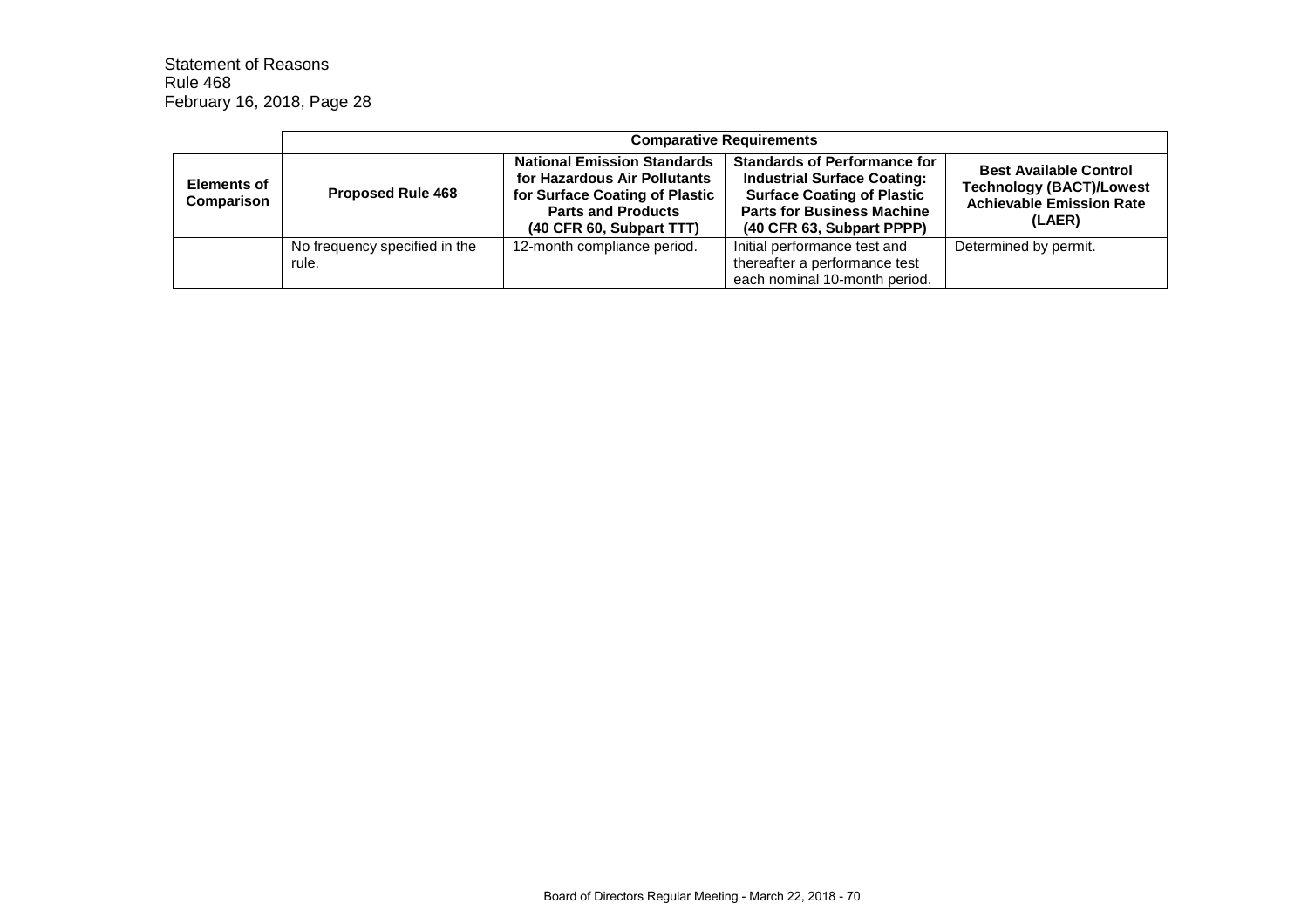|                                  | <b>Comparative Requirements</b>        |                                                                                                                                                               |                                                                                                                                                                                  |                                                                                                               |
|----------------------------------|----------------------------------------|---------------------------------------------------------------------------------------------------------------------------------------------------------------|----------------------------------------------------------------------------------------------------------------------------------------------------------------------------------|---------------------------------------------------------------------------------------------------------------|
| <b>Elements of</b><br>Comparison | <b>Proposed Rule 468</b>               | <b>National Emission Standards</b><br>for Hazardous Air Pollutants<br>for Surface Coating of Plastic<br><b>Parts and Products</b><br>(40 CFR 60, Subpart TTT) | <b>Standards of Performance for</b><br><b>Industrial Surface Coating:</b><br><b>Surface Coating of Plastic</b><br><b>Parts for Business Machine</b><br>(40 CFR 63, Subpart PPPP) | <b>Best Available Control</b><br><b>Technology (BACT)/Lowest</b><br><b>Achievable Emission Rate</b><br>(LAER) |
|                                  | No frequency specified in the<br>rule. | 12-month compliance period.                                                                                                                                   | Initial performance test and<br>thereafter a performance test<br>each nominal 10-month period.                                                                                   | Determined by permit.                                                                                         |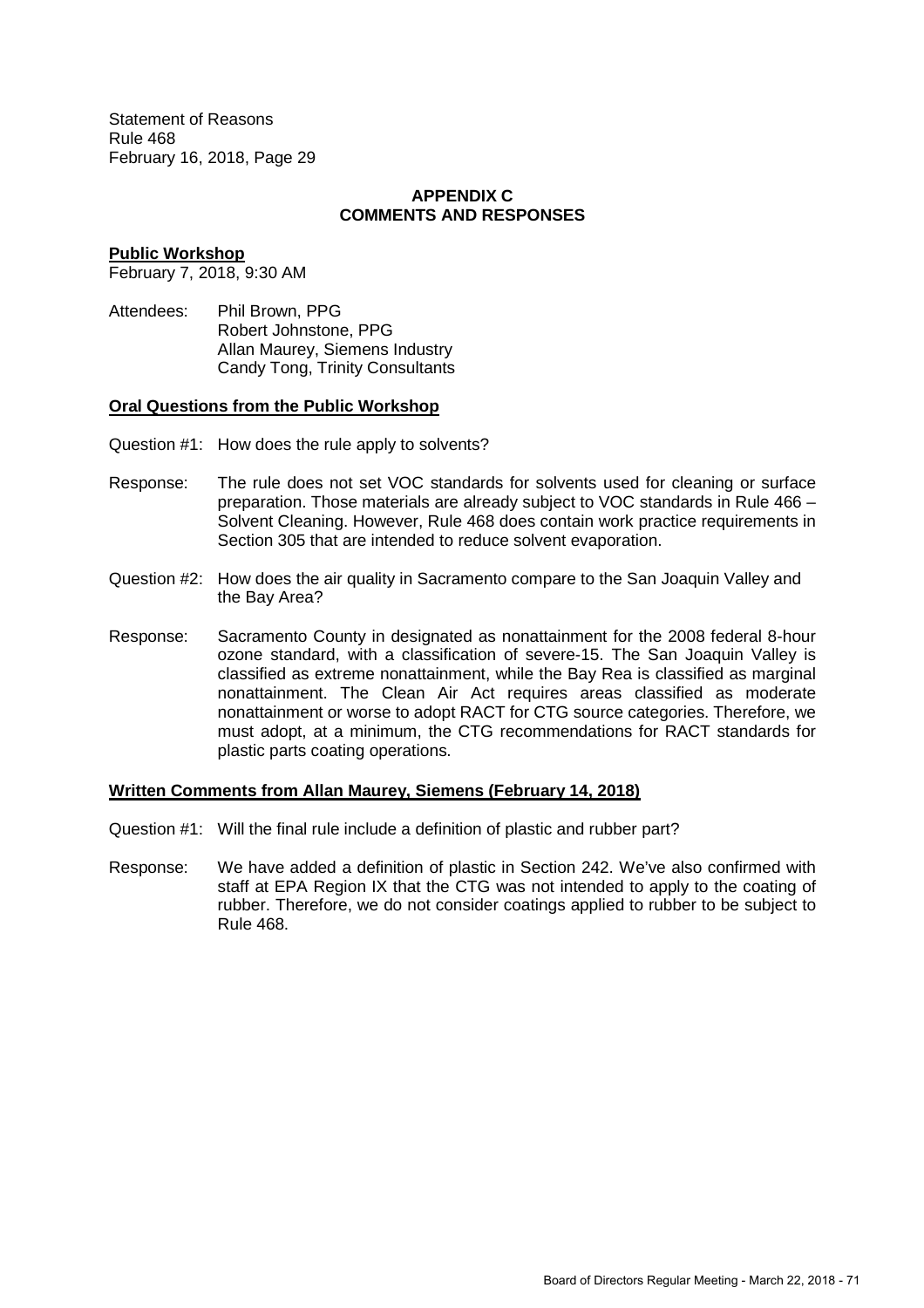#### **APPENDIX C COMMENTS AND RESPONSES**

#### **Public Workshop**

February 7, 2018, 9:30 AM

Attendees: Phil Brown, PPG Robert Johnstone, PPG Allan Maurey, Siemens Industry Candy Tong, Trinity Consultants

#### **Oral Questions from the Public Workshop**

- Question #1: How does the rule apply to solvents?
- Response: The rule does not set VOC standards for solvents used for cleaning or surface preparation. Those materials are already subject to VOC standards in Rule 466 – Solvent Cleaning. However, Rule 468 does contain work practice requirements in Section 305 that are intended to reduce solvent evaporation.
- Question #2: How does the air quality in Sacramento compare to the San Joaquin Valley and the Bay Area?
- Response: Sacramento County in designated as nonattainment for the 2008 federal 8-hour ozone standard, with a classification of severe-15. The San Joaquin Valley is classified as extreme nonattainment, while the Bay Rea is classified as marginal nonattainment. The Clean Air Act requires areas classified as moderate nonattainment or worse to adopt RACT for CTG source categories. Therefore, we must adopt, at a minimum, the CTG recommendations for RACT standards for plastic parts coating operations.

#### **Written Comments from Allan Maurey, Siemens (February 14, 2018)**

- Question #1: Will the final rule include a definition of plastic and rubber part?
- Response: We have added a definition of plastic in Section 242. We've also confirmed with staff at EPA Region IX that the CTG was not intended to apply to the coating of rubber. Therefore, we do not consider coatings applied to rubber to be subject to Rule 468.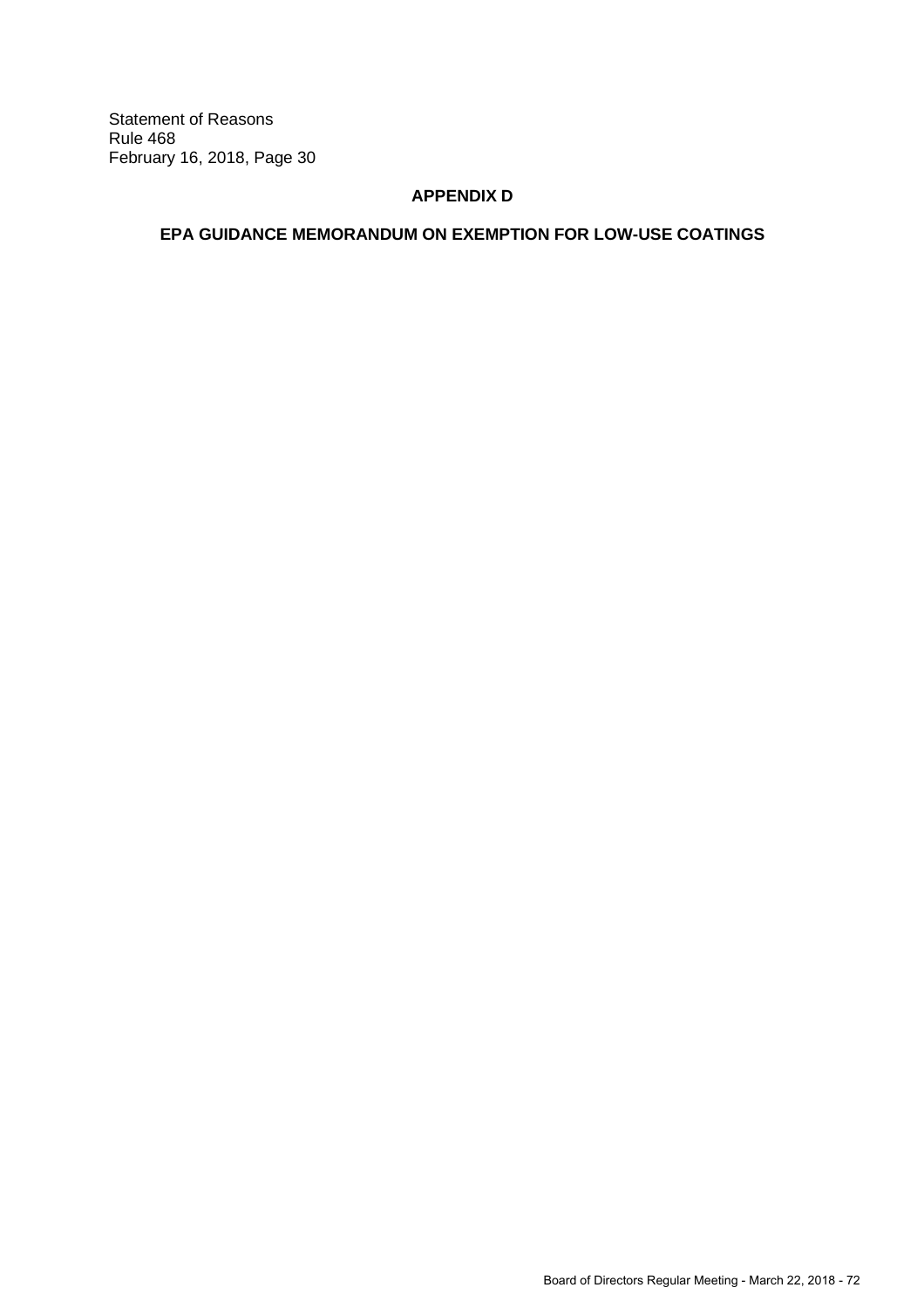# **APPENDIX D**

# **EPA GUIDANCE MEMORANDUM ON EXEMPTION FOR LOW-USE COATINGS**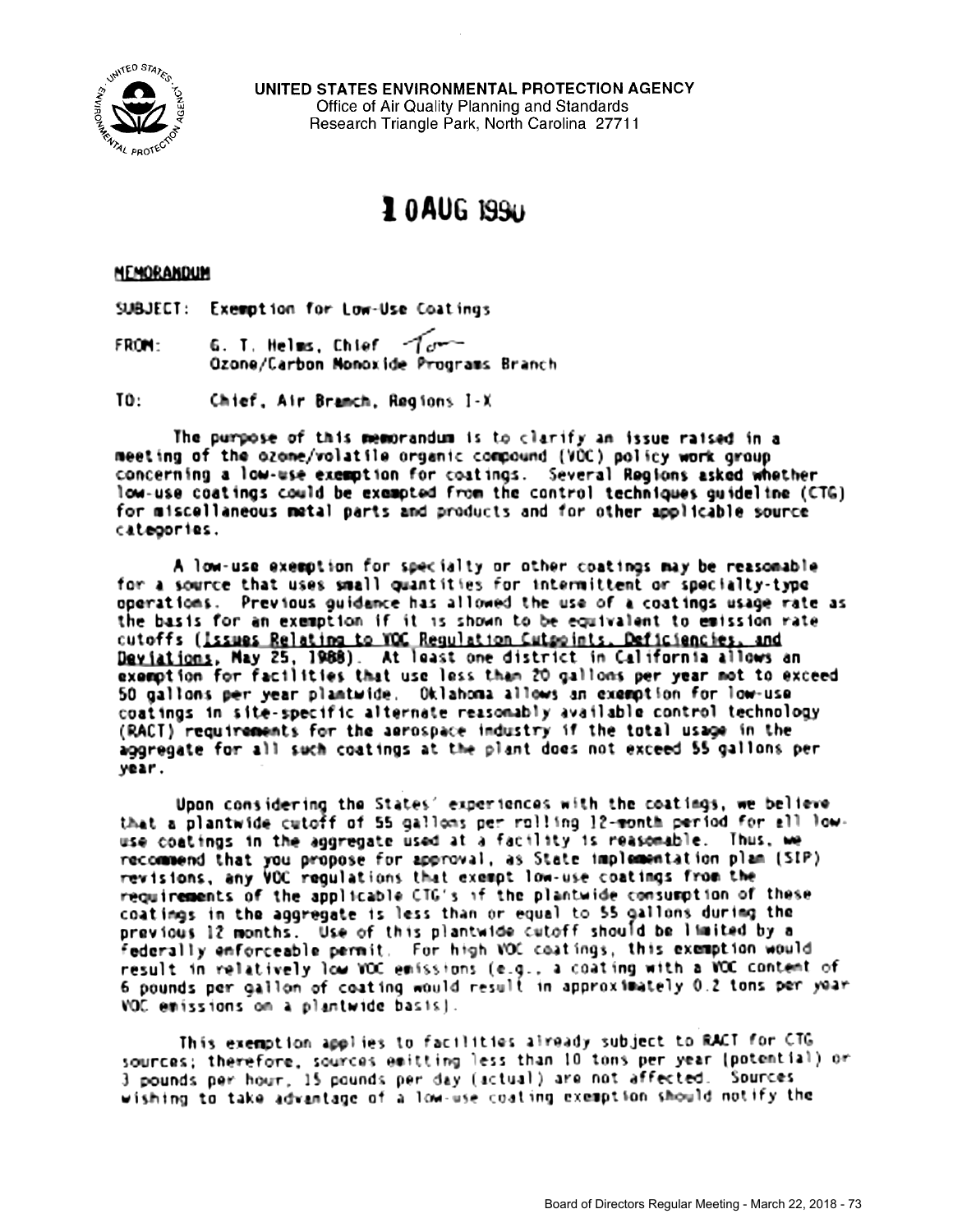

UNITED STATES ENVIRONMENTAL PROTECTION AGENCY Office of Air Quality Planning and Standards Research Triangle Park, North Carolina 27711

# 10AUG 1990

#### HEMORANDUM

SUBJECT: Exemption for Low-Use Coatings

G. T. Helms, Chief  $\tau$ From: Ozone/Carbon Monoxide Programs Branch

 $TO:$ Chief, Air Bramch, Regions I-X

The purpose of this memorandum is to clarify an issue raised in a meeting of the ozone/volatile organic compound (VOC) policy work group concerning a low-use exemption for coatings. Several Regions asked whether low-use coatings could be exempted from the control techniques quideline (CTG) for miscellaneous metal parts and products and for other applicable source categories.

A low-use exemption for specialty or other coatings may be reasonable for a source that uses small quantities for intermittent or specialty-type operations. Previous guidance has allowed the use of a coatings usage rate as the basis for an exemption if it is shown to be equivalent to emission rate cutoffs (issues Relating to YOC Regulation Cutpoints, Deficiencies, and Deviations, May 25, 1988). At least one district in California allows an exemption for facilities that use less than 20 gallons per year not to exceed 50 gallons per year plantwide. Oklahoma allows an exemption for low-use coatings in site-specific alternate reasonably available control technology (RACT) requirements for the aerospace industry if the total usage in the aggregate for all such coatings at the plant does not exceed 55 gallons per vear.

Upon considering the States' experiences with the coatings, we believe that a plantwide cutoff of 55 gallons per rolling 12-month period for all lowuse coatings in the aggregate used at a facility is reasonable. Thus, we recommend that you propose for approval, as State implementation plan (SIP) revisions, any VOC regulations that exempt low-use coatings from the requirements of the applicable CTG's if the plantwide consumption of these coatings in the aggregate is less than or equal to 55 gallons during the previous 12 months. Use of this plantwide cutoff should be limited by a federally enforceable permit. For high VOC coatings, this exemption would result in relatively low VOC emissions (e.g., a coating with a VOC content of 6 pounds per gallon of coating would result in approximately 0.2 tons per year VOC emissions on a plantwide basis).

This exemption applies to facilities already subject to RACT for CTG sources; therefore, sources emitting less than 10 tons per year (potential) or 3 pounds per hour, 15 pounds per day (actual) are not affected. Sources wishing to take advantage of a low-use coating exemption should notify the